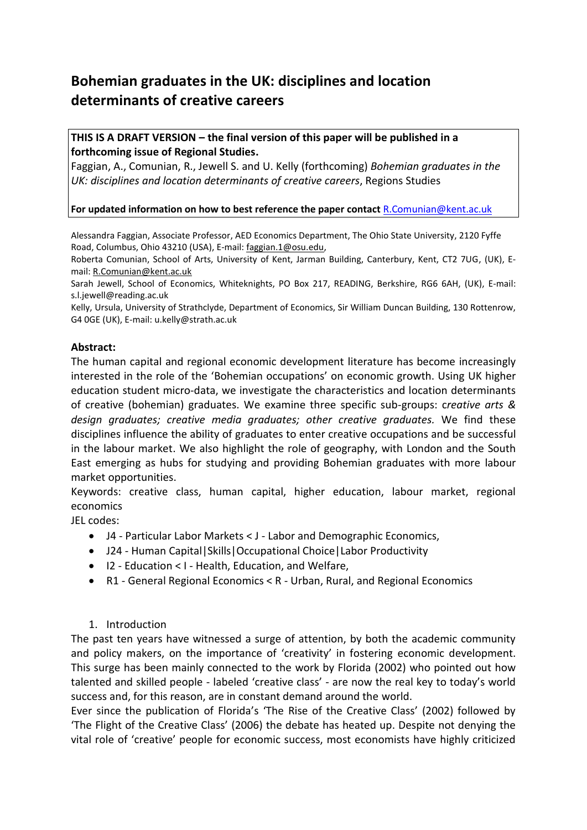# **Bohemian graduates in the UK: disciplines and location determinants of creative careers**

## **THIS IS A DRAFT VERSION – the final version of this paper will be published in a forthcoming issue of Regional Studies.**

Faggian, A., Comunian, R., Jewell S. and U. Kelly (forthcoming) *Bohemian graduates in the UK: disciplines and location determinants of creative careers*, Regions Studies

## **For updated information on how to best reference the paper contact** [R.Comunian@kent.ac.uk](mailto:R.Comunian@kent.ac.uk)

Alessandra Faggian, Associate Professor, AED Economics Department, The Ohio State University, 2120 Fyffe Road, Columbus, Ohio 43210 (USA), E-mail: [faggian.1@osu.edu,](mailto:faggian.1@osu.edu)

Roberta Comunian, School of Arts, University of Kent, Jarman Building, Canterbury, Kent, CT2 7UG, (UK), Email: [R.Comunian@kent.ac.uk](mailto:R.Comunian@kent.ac.uk)

Sarah Jewell, School of Economics, Whiteknights, PO Box 217, READING, Berkshire, RG6 6AH, (UK), E-mail: s.l.jewell@reading.ac.uk

Kelly, Ursula, University of Strathclyde, Department of Economics, Sir William Duncan Building, 130 Rottenrow, G4 0GE (UK), E-mail: u.kelly@strath.ac.uk

## **Abstract:**

The human capital and regional economic development literature has become increasingly interested in the role of the 'Bohemian occupations' on economic growth. Using UK higher education student micro-data, we investigate the characteristics and location determinants of creative (bohemian) graduates. We examine three specific sub-groups: c*reative arts & design graduates; creative media graduates; other creative graduates.* We find these disciplines influence the ability of graduates to enter creative occupations and be successful in the labour market. We also highlight the role of geography, with London and the South East emerging as hubs for studying and providing Bohemian graduates with more labour market opportunities.

Keywords: creative class, human capital, higher education, labour market, regional economics

JEL codes:

- J4 Particular Labor Markets < J Labor and Demographic Economics,
- J24 Human Capital|Skills|Occupational Choice|Labor Productivity
- I2 Education < I Health, Education, and Welfare,
- R1 General Regional Economics < R Urban, Rural, and Regional Economics

## 1. Introduction

The past ten years have witnessed a surge of attention, by both the academic community and policy makers, on the importance of 'creativity' in fostering economic development. This surge has been mainly connected to the work by Florida [\(2002\)](#page-27-0) who pointed out how talented and skilled people - labeled 'creative class' - are now the real key to today's world success and, for this reason, are in constant demand around the world.

Ever since the publication of Florida's 'The Rise of the Creative Class' (2002) followed by 'The Flight of the Creative Class' [\(2006\)](#page-27-1) the debate has heated up. Despite not denying the vital role of 'creative' people for economic success, most economists have highly criticized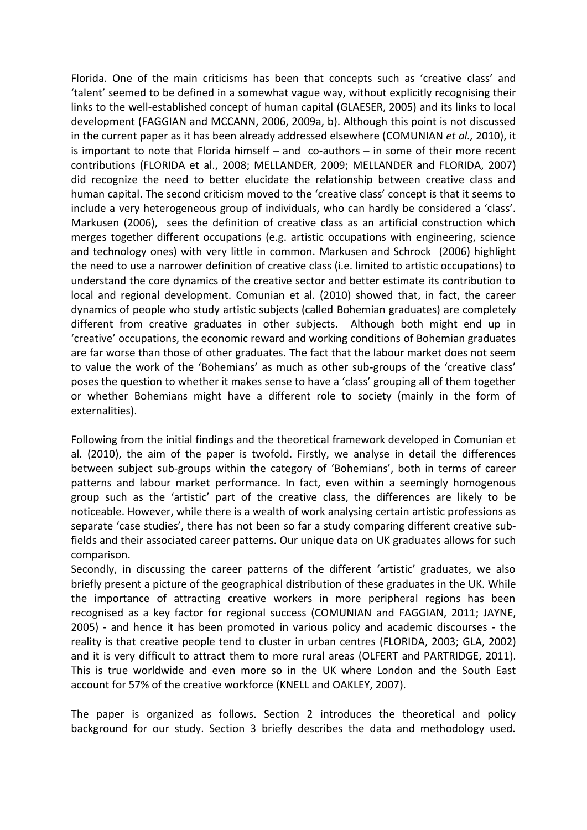Florida. One of the main criticisms has been that concepts such as 'creative class' and 'talent' seemed to be defined in a somewhat vague way, without explicitly recognising their links to the well-established concept of human capital [\(GLAESER, 2005\)](#page-28-0) and its links to local development (FAGGIAN and MCCANN, 2006, 2009a, b). Although this point is not discussed in the current paper as it has been already addressed elsewhere (COMUNIAN *et al.,* 2010), it is important to note that Florida himself – and co-authors – in some of their more recent contributions [\(FLORIDA et al., 2008;](#page-27-2) [MELLANDER, 2009;](#page-28-1) [MELLANDER and FLORIDA, 2007\)](#page-28-2) did recognize the need to better elucidate the relationship between creative class and human capital. The second criticism moved to the 'creative class' concept is that it seems to include a very heterogeneous group of individuals, who can hardly be considered a 'class'. Markusen [\(2006\)](#page-28-3), sees the definition of creative class as an artificial construction which merges together different occupations (e.g. artistic occupations with engineering, science and technology ones) with very little in common. Markusen and Schrock [\(2006\)](#page-28-4) highlight the need to use a narrower definition of creative class (i.e. limited to artistic occupations) to understand the core dynamics of the creative sector and better estimate its contribution to local and regional development. Comunian et al. (2010) showed that, in fact, the career dynamics of people who study artistic subjects (called Bohemian graduates) are completely different from creative graduates in other subjects. Although both might end up in 'creative' occupations, the economic reward and working conditions of Bohemian graduates are far worse than those of other graduates. The fact that the labour market does not seem to value the work of the 'Bohemians' as much as other sub-groups of the 'creative class' poses the question to whether it makes sense to have a 'class' grouping all of them together or whether Bohemians might have a different role to society (mainly in the form of externalities).

Following from the initial findings and the theoretical framework developed in Comunian et al. (2010), the aim of the paper is twofold. Firstly, we analyse in detail the differences between subject sub-groups within the category of 'Bohemians', both in terms of career patterns and labour market performance. In fact, even within a seemingly homogenous group such as the 'artistic' part of the creative class, the differences are likely to be noticeable. However, while there is a wealth of work analysing certain artistic professions as separate 'case studies', there has not been so far a study comparing different creative subfields and their associated career patterns. Our unique data on UK graduates allows for such comparison.

Secondly, in discussing the career patterns of the different 'artistic' graduates, we also briefly present a picture of the geographical distribution of these graduates in the UK. While the importance of attracting creative workers in more peripheral regions has been recognised as a key factor for regional success [\(COMUNIAN and FAGGIAN, 2011;](#page-26-0) [JAYNE,](#page-28-5)  [2005\)](#page-28-5) - and hence it has been promoted in various policy and academic discourses - the reality is that creative people tend to cluster in urban centres [\(FLORIDA, 2003;](#page-27-3) [GLA, 2002\)](#page-28-6) and it is very difficult to attract them to more rural areas [\(OLFERT and PARTRIDGE, 2011\)](#page-29-0). This is true worldwide and even more so in the UK where London and the South East account for 57% of the creative workforce [\(KNELL and OAKLEY, 2007\)](#page-28-7).

The paper is organized as follows. Section 2 introduces the theoretical and policy background for our study. Section 3 briefly describes the data and methodology used.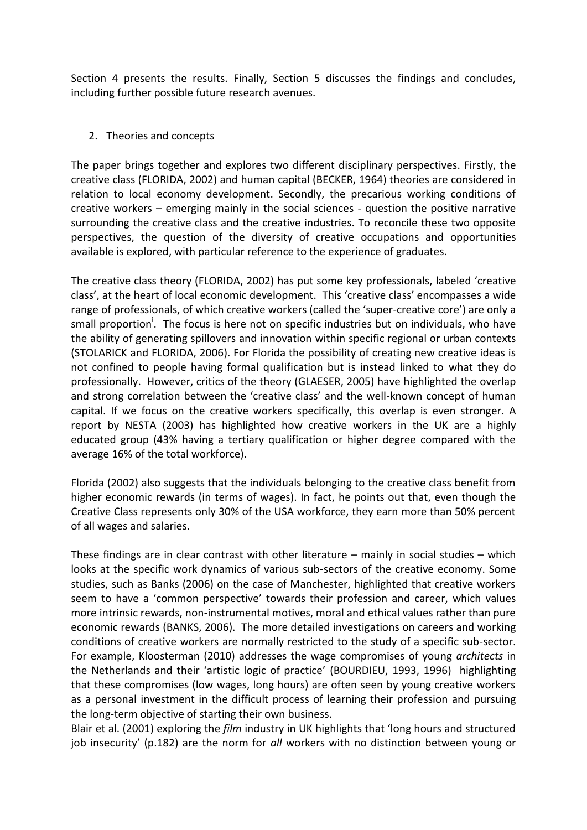Section 4 presents the results. Finally, Section 5 discusses the findings and concludes, including further possible future research avenues.

## 2. Theories and concepts

The paper brings together and explores two different disciplinary perspectives. Firstly, the creative class (FLORIDA, 2002) and human capital [\(BECKER, 1964\)](#page-26-1) theories are considered in relation to local economy development. Secondly, the precarious working conditions of creative workers – emerging mainly in the social sciences - question the positive narrative surrounding the creative class and the creative industries. To reconcile these two opposite perspectives, the question of the diversity of creative occupations and opportunities available is explored, with particular reference to the experience of graduates.

The creative class theory (FLORIDA, 2002) has put some key professionals, labeled 'creative class', at the heart of local economic development. This 'creative class' encompasses a wide range of professionals, of which creative workers (called the 'super-creative core') are only a small proportion<sup>i</sup>. The focus is here not on specific industries but on individuals, who have the ability of generating spillovers and innovation within specific regional or urban contexts [\(STOLARICK and FLORIDA, 2006\)](#page-29-1). For Florida the possibility of creating new creative ideas is not confined to people having formal qualification but is instead linked to what they do professionally. However, critics of the theory [\(GLAESER, 2005\)](#page-28-0) have highlighted the overlap and strong correlation between the 'creative class' and the well-known concept of human capital. If we focus on the creative workers specifically, this overlap is even stronger. A report by NESTA [\(2003\)](#page-29-2) has highlighted how creative workers in the UK are a highly educated group (43% having a tertiary qualification or higher degree compared with the average 16% of the total workforce).

Florida (2002) also suggests that the individuals belonging to the creative class benefit from higher economic rewards (in terms of wages). In fact, he points out that, even though the Creative Class represents only 30% of the USA workforce, they earn more than 50% percent of all wages and salaries.

These findings are in clear contrast with other literature – mainly in social studies – which looks at the specific work dynamics of various sub-sectors of the creative economy. Some studies, such as Banks (2006) on the case of Manchester, highlighted that creative workers seem to have a 'common perspective' towards their profession and career, which values more intrinsic rewards, non-instrumental motives, moral and ethical values rather than pure economic rewards [\(BANKS, 2006\)](#page-26-2). The more detailed investigations on careers and working conditions of creative workers are normally restricted to the study of a specific sub-sector. For example, Kloosterman [\(2010\)](#page-28-8) addresses the wage compromises of young *architects* in the Netherlands and their 'artistic logic of practice' [\(BOURDIEU, 1993,](#page-26-3) [1996\)](#page-26-4) highlighting that these compromises (low wages, long hours) are often seen by young creative workers as a personal investment in the difficult process of learning their profession and pursuing the long-term objective of starting their own business.

Blair et al. [\(2001\)](#page-26-5) exploring the *film* industry in UK highlights that 'long hours and structured job insecurity' (p.182) are the norm for *all* workers with no distinction between young or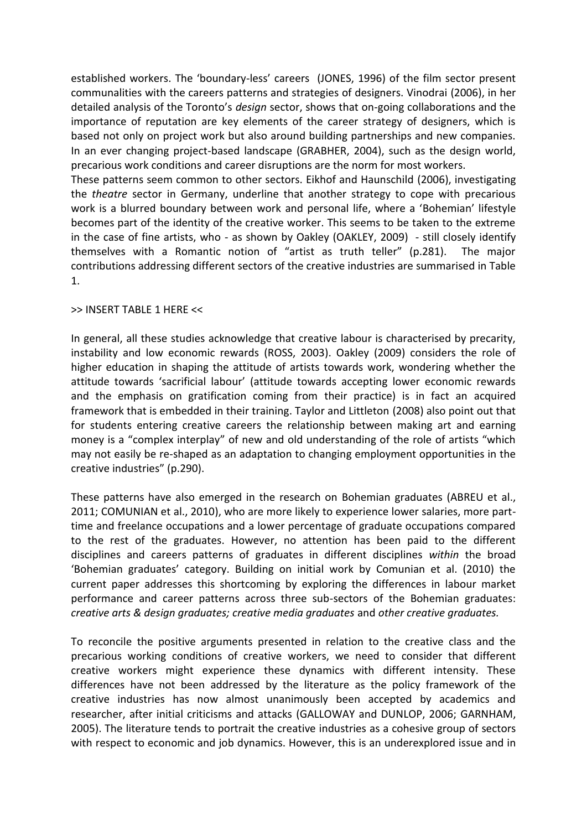established workers. The 'boundary-less' careers [\(JONES, 1996\)](#page-28-9) of the film sector present communalities with the careers patterns and strategies of designers. Vinodrai [\(2006\)](#page-29-3), in her detailed analysis of the Toronto's *design* sector, shows that on-going collaborations and the importance of reputation are key elements of the career strategy of designers, which is based not only on project work but also around building partnerships and new companies. In an ever changing project-based landscape [\(GRABHER, 2004\)](#page-28-10), such as the design world, precarious work conditions and career disruptions are the norm for most workers.

These patterns seem common to other sectors. Eikhof and Haunschild [\(2006\)](#page-27-4), investigating the *theatre* sector in Germany, underline that another strategy to cope with precarious work is a blurred boundary between work and personal life, where a 'Bohemian' lifestyle becomes part of the identity of the creative worker. This seems to be taken to the extreme in the case of fine artists, who - as shown by Oakley [\(OAKLEY, 2009\)](#page-29-4) - still closely identify themselves with a Romantic notion of "artist as truth teller" (p.281). The major contributions addressing different sectors of the creative industries are summarised in Table 1.

#### >> INSERT TABLE 1 HERE <<

In general, all these studies acknowledge that creative labour is characterised by precarity, instability and low economic rewards [\(ROSS, 2003\)](#page-29-5). Oakley (2009) considers the role of higher education in shaping the attitude of artists towards work, wondering whether the attitude towards 'sacrificial labour' (attitude towards accepting lower economic rewards and the emphasis on gratification coming from their practice) is in fact an acquired framework that is embedded in their training. Taylor and Littleton [\(2008\)](#page-29-6) also point out that for students entering creative careers the relationship between making art and earning money is a "complex interplay" of new and old understanding of the role of artists "which may not easily be re-shaped as an adaptation to changing employment opportunities in the creative industries" (p.290).

These patterns have also emerged in the research on Bohemian graduates [\(ABREU et al.,](#page-26-6)  [2011;](#page-26-6) [COMUNIAN et al., 2010\)](#page-26-7), who are more likely to experience lower salaries, more parttime and freelance occupations and a lower percentage of graduate occupations compared to the rest of the graduates. However, no attention has been paid to the different disciplines and careers patterns of graduates in different disciplines *within* the broad 'Bohemian graduates' category. Building on initial work by Comunian et al. (2010) the current paper addresses this shortcoming by exploring the differences in labour market performance and career patterns across three sub-sectors of the Bohemian graduates: *creative arts & design graduates; creative media graduates* and *other creative graduates.*

To reconcile the positive arguments presented in relation to the creative class and the precarious working conditions of creative workers, we need to consider that different creative workers might experience these dynamics with different intensity. These differences have not been addressed by the literature as the policy framework of the creative industries has now almost unanimously been accepted by academics and researcher, after initial criticisms and attacks [\(GALLOWAY and DUNLOP, 2006;](#page-27-5) [GARNHAM,](#page-28-11)  [2005\)](#page-28-11). The literature tends to portrait the creative industries as a cohesive group of sectors with respect to economic and job dynamics. However, this is an underexplored issue and in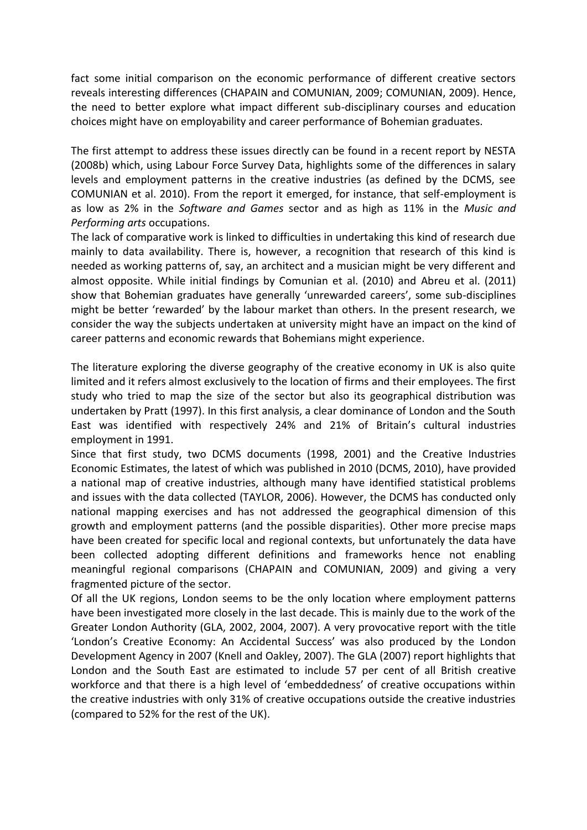fact some initial comparison on the economic performance of different creative sectors reveals interesting differences [\(CHAPAIN and COMUNIAN, 2009;](#page-26-8) [COMUNIAN, 2009\)](#page-26-9). Hence, the need to better explore what impact different sub-disciplinary courses and education choices might have on employability and career performance of Bohemian graduates.

The first attempt to address these issues directly can be found in a recent report by NESTA [\(2008b\)](#page-29-7) which, using Labour Force Survey Data, highlights some of the differences in salary levels and employment patterns in the creative industries (as defined by the DCMS, see COMUNIAN et al. 2010). From the report it emerged, for instance, that self-employment is as low as 2% in the *Software and Games* sector and as high as 11% in the *Music and Performing arts* occupations.

The lack of comparative work is linked to difficulties in undertaking this kind of research due mainly to data availability. There is, however, a recognition that research of this kind is needed as working patterns of, say, an architect and a musician might be very different and almost opposite. While initial findings by Comunian et al. (2010) and Abreu et al. (2011) show that Bohemian graduates have generally 'unrewarded careers', some sub-disciplines might be better 'rewarded' by the labour market than others. In the present research, we consider the way the subjects undertaken at university might have an impact on the kind of career patterns and economic rewards that Bohemians might experience.

The literature exploring the diverse geography of the creative economy in UK is also quite limited and it refers almost exclusively to the location of firms and their employees. The first study who tried to map the size of the sector but also its geographical distribution was undertaken by Pratt [\(1997\)](#page-29-8). In this first analysis, a clear dominance of London and the South East was identified with respectively 24% and 21% of Britain's cultural industries employment in 1991.

Since that first study, two DCMS documents [\(1998,](#page-27-6) [2001\)](#page-27-7) and the Creative Industries Economic Estimates, the latest of which was published in 2010 [\(DCMS, 2010\)](#page-27-8), have provided a national map of creative industries, although many have identified statistical problems and issues with the data collected [\(TAYLOR, 2006\)](#page-29-9). However, the DCMS has conducted only national mapping exercises and has not addressed the geographical dimension of this growth and employment patterns (and the possible disparities). Other more precise maps have been created for specific local and regional contexts, but unfortunately the data have been collected adopting different definitions and frameworks hence not enabling meaningful regional comparisons [\(CHAPAIN and COMUNIAN, 2009\)](#page-26-8) and giving a very fragmented picture of the sector.

Of all the UK regions, London seems to be the only location where employment patterns have been investigated more closely in the last decade. This is mainly due to the work of the Greater London Authority [\(GLA, 2002,](#page-28-6) [2004,](#page-28-12) [2007\)](#page-28-13). A very provocative report with the title 'London's Creative Economy: An Accidental Success' was also produced by the London Development Agency in 2007 (Knell and Oakley, 2007). The GLA (2007) report highlights that London and the South East are estimated to include 57 per cent of all British creative workforce and that there is a high level of 'embeddedness' of creative occupations within the creative industries with only 31% of creative occupations outside the creative industries (compared to 52% for the rest of the UK).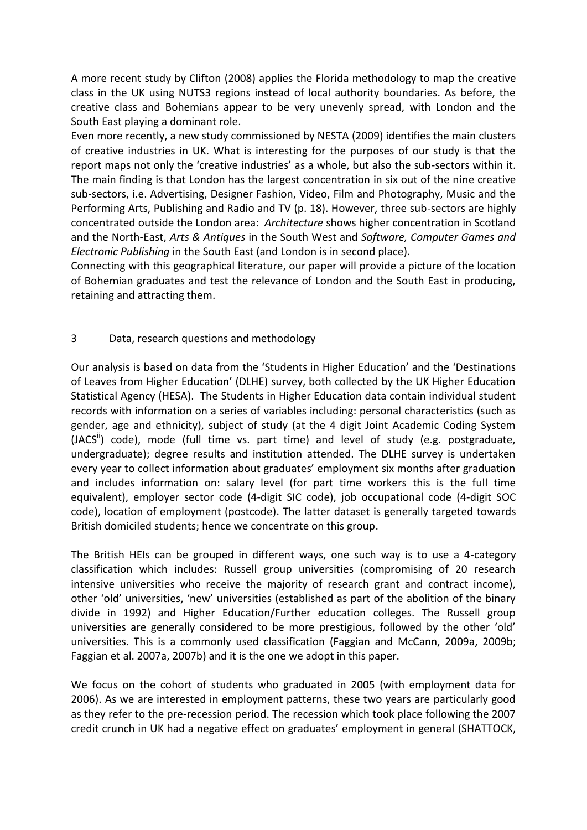A more recent study by Clifton [\(2008\)](#page-26-10) applies the Florida methodology to map the creative class in the UK using NUTS3 regions instead of local authority boundaries. As before, the creative class and Bohemians appear to be very unevenly spread, with London and the South East playing a dominant role.

Even more recently, a new study commissioned by NESTA [\(2009\)](#page-29-10) identifies the main clusters of creative industries in UK. What is interesting for the purposes of our study is that the report maps not only the 'creative industries' as a whole, but also the sub-sectors within it. The main finding is that London has the largest concentration in six out of the nine creative sub-sectors, i.e. Advertising, Designer Fashion, Video, Film and Photography, Music and the Performing Arts, Publishing and Radio and TV (p. 18). However, three sub-sectors are highly concentrated outside the London area: *Architecture* shows higher concentration in Scotland and the North-East, *Arts & Antiques* in the South West and *Software, Computer Games and Electronic Publishing* in the South East (and London is in second place).

Connecting with this geographical literature, our paper will provide a picture of the location of Bohemian graduates and test the relevance of London and the South East in producing, retaining and attracting them.

## 3 Data, research questions and methodology

Our analysis is based on data from the 'Students in Higher Education' and the 'Destinations of Leaves from Higher Education' (DLHE) survey, both collected by the UK Higher Education Statistical Agency (HESA). The Students in Higher Education data contain individual student records with information on a series of variables including: personal characteristics (such as gender, age and ethnicity), subject of study (at the 4 digit Joint Academic Coding System  $(JACS<sup>II</sup>)$  code), mode (full time vs. part time) and level of study (e.g. postgraduate, undergraduate); degree results and institution attended. The DLHE survey is undertaken every year to collect information about graduates' employment six months after graduation and includes information on: salary level (for part time workers this is the full time equivalent), employer sector code (4-digit SIC code), job occupational code (4-digit SOC code), location of employment (postcode). The latter dataset is generally targeted towards British domiciled students; hence we concentrate on this group.

The British HEIs can be grouped in different ways, one such way is to use a 4-category classification which includes: Russell group universities (compromising of 20 research intensive universities who receive the majority of research grant and contract income), other 'old' universities, 'new' universities (established as part of the abolition of the binary divide in 1992) and Higher Education/Further education colleges. The Russell group universities are generally considered to be more prestigious, followed by the other 'old' universities. This is a commonly used classification (Faggian and McCann, 2009a, 2009b; Faggian et al. 2007a, 2007b) and it is the one we adopt in this paper.

We focus on the cohort of students who graduated in 2005 (with employment data for 2006). As we are interested in employment patterns, these two years are particularly good as they refer to the pre-recession period. The recession which took place following the 2007 credit crunch in UK had a negative effect on graduates' employment in general [\(SHATTOCK,](#page-29-11)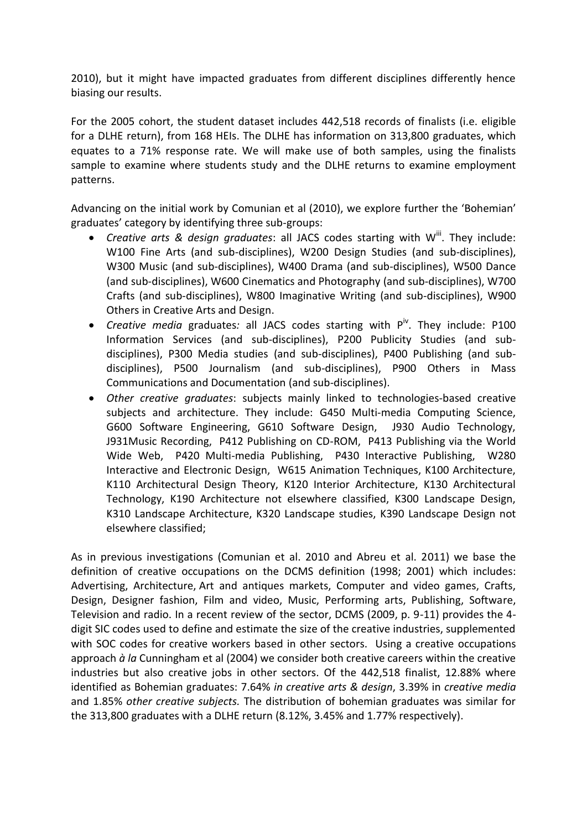2010), but it might have impacted graduates from different disciplines differently hence biasing our results.

For the 2005 cohort, the student dataset includes 442,518 records of finalists (i.e. eligible for a DLHE return), from 168 HEIs. The DLHE has information on 313,800 graduates, which equates to a 71% response rate. We will make use of both samples, using the finalists sample to examine where students study and the DLHE returns to examine employment patterns.

Advancing on the initial work by Comunian et al (2010), we explore further the 'Bohemian' graduates' category by identifying three sub-groups:

- Creative arts & design graduates: all JACS codes starting with W<sup>iii</sup>. They include: W100 Fine Arts (and sub-disciplines), W200 Design Studies (and sub-disciplines), W300 Music (and sub-disciplines), W400 Drama (and sub-disciplines), W500 Dance (and sub-disciplines), W600 Cinematics and Photography (and sub-disciplines), W700 Crafts (and sub-disciplines), W800 Imaginative Writing (and sub-disciplines), W900 Others in Creative Arts and Design.
- *Creative media* graduates: all JACS codes starting with P<sup>iv</sup>. They include: P100 Information Services (and sub-disciplines), P200 Publicity Studies (and subdisciplines), P300 Media studies (and sub-disciplines), P400 Publishing (and subdisciplines), P500 Journalism (and sub-disciplines), P900 Others in Mass Communications and Documentation (and sub-disciplines).
- *Other creative graduates*: subjects mainly linked to technologies-based creative subjects and architecture. They include: G450 Multi-media Computing Science, G600 Software Engineering, G610 Software Design, J930 Audio Technology, J931Music Recording, P412 Publishing on CD-ROM, P413 Publishing via the World Wide Web, P420 Multi-media Publishing, P430 Interactive Publishing, W280 Interactive and Electronic Design, W615 Animation Techniques, K100 Architecture, K110 Architectural Design Theory, K120 Interior Architecture, K130 Architectural Technology, K190 Architecture not elsewhere classified, K300 Landscape Design, K310 Landscape Architecture, K320 Landscape studies, K390 Landscape Design not elsewhere classified;

As in previous investigations (Comunian et al. 2010 and Abreu et al. 2011) we base the definition of creative occupations on the DCMS definition (1998; 2001) which includes: Advertising, Architecture, Art and antiques markets, Computer and video games, Crafts, Design, Designer fashion, Film and video, Music, Performing arts, Publishing, Software, Television and radio. In a recent review of the sector, DCMS (2009, p. 9-11) provides the 4 digit SIC codes used to define and estimate the size of the creative industries, supplemented with SOC codes for creative workers based in other sectors. Using a creative occupations approach *à la* Cunningham et al [\(2004\)](#page-27-9) we consider both creative careers within the creative industries but also creative jobs in other sectors. Of the 442,518 finalist, 12.88% where identified as Bohemian graduates: 7.64% *in creative arts & design*, 3.39% in *creative media* and 1.85% *other creative subjects.* The distribution of bohemian graduates was similar for the 313,800 graduates with a DLHE return (8.12%, 3.45% and 1.77% respectively).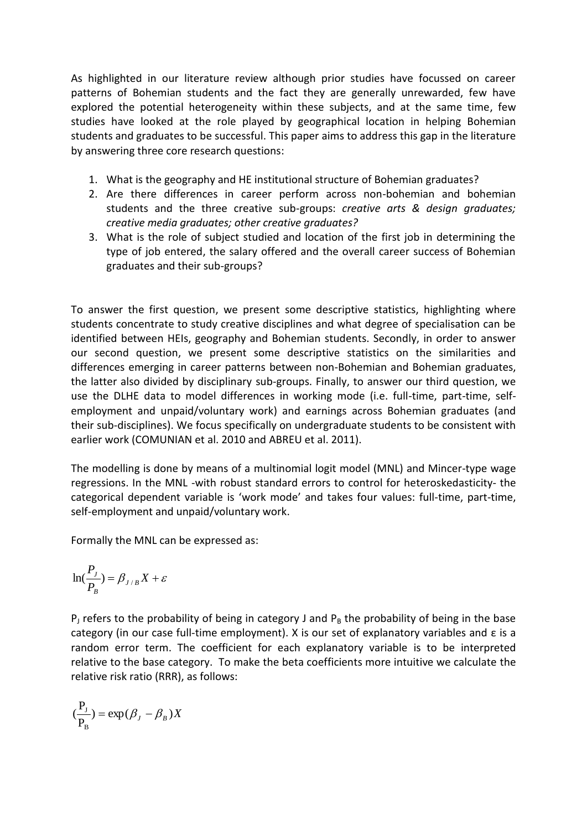As highlighted in our literature review although prior studies have focussed on career patterns of Bohemian students and the fact they are generally unrewarded, few have explored the potential heterogeneity within these subjects, and at the same time, few studies have looked at the role played by geographical location in helping Bohemian students and graduates to be successful. This paper aims to address this gap in the literature by answering three core research questions:

- 1. What is the geography and HE institutional structure of Bohemian graduates?
- 2. Are there differences in career perform across non-bohemian and bohemian students and the three creative sub-groups: *creative arts & design graduates; creative media graduates; other creative graduates?*
- 3. What is the role of subject studied and location of the first job in determining the type of job entered, the salary offered and the overall career success of Bohemian graduates and their sub-groups?

To answer the first question, we present some descriptive statistics, highlighting where students concentrate to study creative disciplines and what degree of specialisation can be identified between HEIs, geography and Bohemian students. Secondly, in order to answer our second question, we present some descriptive statistics on the similarities and differences emerging in career patterns between non-Bohemian and Bohemian graduates, the latter also divided by disciplinary sub-groups. Finally, to answer our third question, we use the DLHE data to model differences in working mode (i.e. full-time, part-time, selfemployment and unpaid/voluntary work) and earnings across Bohemian graduates (and their sub-disciplines). We focus specifically on undergraduate students to be consistent with earlier work (COMUNIAN et al. 2010 and ABREU et al. 2011).

The modelling is done by means of a multinomial logit model (MNL) and Mincer-type wage regressions. In the MNL -with robust standard errors to control for heteroskedasticity- the categorical dependent variable is 'work mode' and takes four values: full-time, part-time, self-employment and unpaid/voluntary work.

Formally the MNL can be expressed as:

$$
\ln(\frac{P_J}{P_B}) = \beta_{J/B} X + \varepsilon
$$

 $P_1$  refers to the probability of being in category J and  $P_B$  the probability of being in the base category (in our case full-time employment). X is our set of explanatory variables and  $\epsilon$  is a random error term. The coefficient for each explanatory variable is to be interpreted relative to the base category. To make the beta coefficients more intuitive we calculate the relative risk ratio (RRR), as follows:

$$
(\frac{P_J}{P_B}) = \exp(\beta_J - \beta_B)X
$$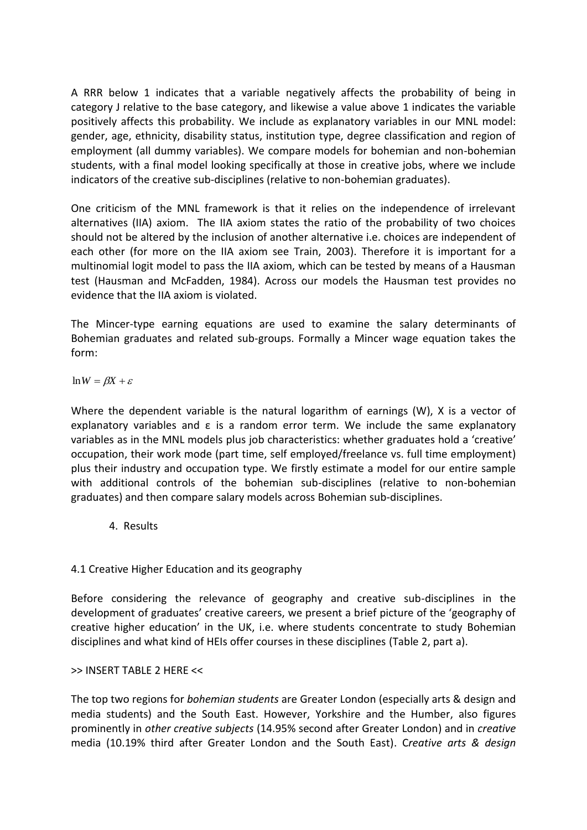A RRR below 1 indicates that a variable negatively affects the probability of being in category J relative to the base category, and likewise a value above 1 indicates the variable positively affects this probability. We include as explanatory variables in our MNL model: gender, age, ethnicity, disability status, institution type, degree classification and region of employment (all dummy variables). We compare models for bohemian and non-bohemian students, with a final model looking specifically at those in creative jobs, where we include indicators of the creative sub-disciplines (relative to non-bohemian graduates).

One criticism of the MNL framework is that it relies on the independence of irrelevant alternatives (IIA) axiom. The IIA axiom states the ratio of the probability of two choices should not be altered by the inclusion of another alternative i.e. choices are independent of each other (for more on the IIA axiom see Train, 2003). Therefore it is important for a multinomial logit model to pass the IIA axiom, which can be tested by means of a Hausman test (Hausman and McFadden, 1984). Across our models the Hausman test provides no evidence that the IIA axiom is violated.

The Mincer-type earning equations are used to examine the salary determinants of Bohemian graduates and related sub-groups. Formally a Mincer wage equation takes the form:

 $\ln W = \beta X + \varepsilon$ 

Where the dependent variable is the natural logarithm of earnings (W), X is a vector of explanatory variables and  $\varepsilon$  is a random error term. We include the same explanatory variables as in the MNL models plus job characteristics: whether graduates hold a 'creative' occupation, their work mode (part time, self employed/freelance vs. full time employment) plus their industry and occupation type. We firstly estimate a model for our entire sample with additional controls of the bohemian sub-disciplines (relative to non-bohemian graduates) and then compare salary models across Bohemian sub-disciplines.

4. Results

## 4.1 Creative Higher Education and its geography

Before considering the relevance of geography and creative sub-disciplines in the development of graduates' creative careers, we present a brief picture of the 'geography of creative higher education' in the UK, i.e. where students concentrate to study Bohemian disciplines and what kind of HEIs offer courses in these disciplines (Table 2, part a).

## >> INSERT TABLE 2 HERE <<

The top two regions for *bohemian students* are Greater London (especially arts & design and media students) and the South East. However, Yorkshire and the Humber, also figures prominently in *other creative subjects* (14.95% second after Greater London) and in *creative*  media (10.19% third after Greater London and the South East). C*reative arts & design*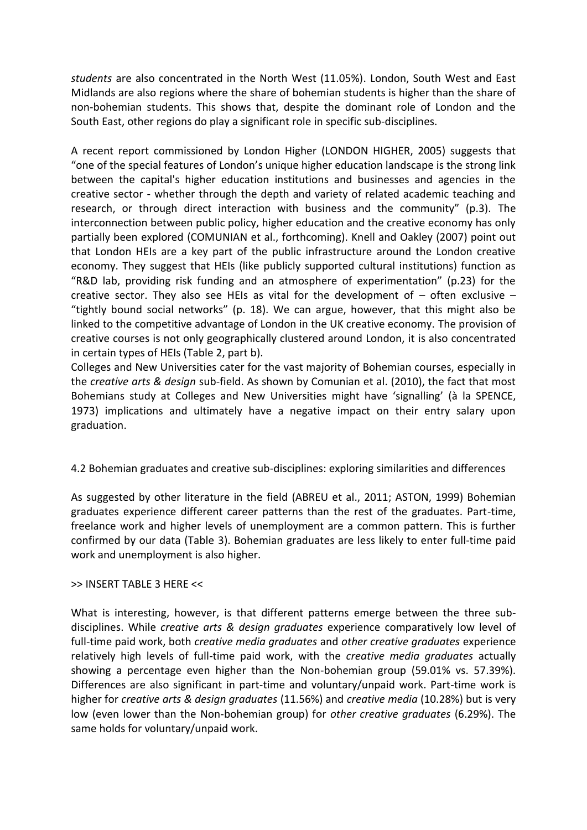*students* are also concentrated in the North West (11.05%). London, South West and East Midlands are also regions where the share of bohemian students is higher than the share of non-bohemian students. This shows that, despite the dominant role of London and the South East, other regions do play a significant role in specific sub-disciplines.

A recent report commissioned by London Higher [\(LONDON HIGHER, 2005\)](#page-28-14) suggests that "one of the special features of London's unique higher education landscape is the strong link between the capital's higher education institutions and businesses and agencies in the creative sector - whether through the depth and variety of related academic teaching and research, or through direct interaction with business and the community" (p.3). The interconnection between public policy, higher education and the creative economy has only partially been explored [\(COMUNIAN et al., forthcoming\)](#page-26-11). Knell and Oakley (2007) point out that London HEIs are a key part of the public infrastructure around the London creative economy. They suggest that HEIs (like publicly supported cultural institutions) function as "R&D lab, providing risk funding and an atmosphere of experimentation" (p.23) for the creative sector. They also see HEIs as vital for the development of  $-$  often exclusive  $-$ "tightly bound social networks" (p. 18). We can argue, however, that this might also be linked to the competitive advantage of London in the UK creative economy. The provision of creative courses is not only geographically clustered around London, it is also concentrated in certain types of HEIs (Table 2, part b).

Colleges and New Universities cater for the vast majority of Bohemian courses, especially in the *creative arts & design* sub-field. As shown by Comunian et al. (2010), the fact that most Bohemians study at Colleges and New Universities might have 'signalling' [\(à la SPENCE,](#page-29-12)  [1973\)](#page-29-12) implications and ultimately have a negative impact on their entry salary upon graduation.

## 4.2 Bohemian graduates and creative sub-disciplines: exploring similarities and differences

As suggested by other literature in the field [\(ABREU et al., 2011;](#page-26-6) [ASTON, 1999\)](#page-26-12) Bohemian graduates experience different career patterns than the rest of the graduates. Part-time, freelance work and higher levels of unemployment are a common pattern. This is further confirmed by our data (Table 3). Bohemian graduates are less likely to enter full-time paid work and unemployment is also higher.

#### >> INSERT TABLE 3 HERE <<

What is interesting, however, is that different patterns emerge between the three subdisciplines. While *creative arts & design graduates* experience comparatively low level of full-time paid work, both *creative media graduates* and *other creative graduates* experience relatively high levels of full-time paid work, with the *creative media graduates* actually showing a percentage even higher than the Non-bohemian group (59.01% vs. 57.39%). Differences are also significant in part-time and voluntary/unpaid work. Part-time work is higher for *creative arts & design graduates* (11.56%) and *creative media* (10.28%) but is very low (even lower than the Non-bohemian group) for *other creative graduates* (6.29%). The same holds for voluntary/unpaid work.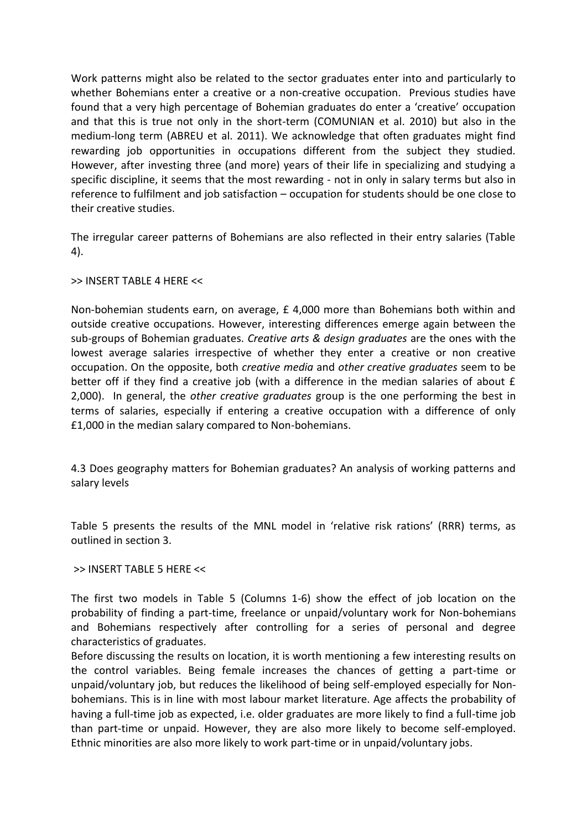Work patterns might also be related to the sector graduates enter into and particularly to whether Bohemians enter a creative or a non-creative occupation. Previous studies have found that a very high percentage of Bohemian graduates do enter a 'creative' occupation and that this is true not only in the short-term (COMUNIAN et al. 2010) but also in the medium-long term (ABREU et al. 2011). We acknowledge that often graduates might find rewarding job opportunities in occupations different from the subject they studied. However, after investing three (and more) years of their life in specializing and studying a specific discipline, it seems that the most rewarding - not in only in salary terms but also in reference to fulfilment and job satisfaction – occupation for students should be one close to their creative studies.

The irregular career patterns of Bohemians are also reflected in their entry salaries (Table 4).

>> INSERT TABLE 4 HERE <<

Non-bohemian students earn, on average, £ 4,000 more than Bohemians both within and outside creative occupations. However, interesting differences emerge again between the sub-groups of Bohemian graduates. *Creative arts & design graduates* are the ones with the lowest average salaries irrespective of whether they enter a creative or non creative occupation. On the opposite, both *creative media* and *other creative graduates* seem to be better off if they find a creative job (with a difference in the median salaries of about £ 2,000). In general, the *other creative graduates* group is the one performing the best in terms of salaries, especially if entering a creative occupation with a difference of only £1,000 in the median salary compared to Non-bohemians.

4.3 Does geography matters for Bohemian graduates? An analysis of working patterns and salary levels

Table 5 presents the results of the MNL model in 'relative risk rations' (RRR) terms, as outlined in section 3.

#### >> INSERT TABLE 5 HERE <<

The first two models in Table 5 (Columns 1-6) show the effect of job location on the probability of finding a part-time, freelance or unpaid/voluntary work for Non-bohemians and Bohemians respectively after controlling for a series of personal and degree characteristics of graduates.

Before discussing the results on location, it is worth mentioning a few interesting results on the control variables. Being female increases the chances of getting a part-time or unpaid/voluntary job, but reduces the likelihood of being self-employed especially for Nonbohemians. This is in line with most labour market literature. Age affects the probability of having a full-time job as expected, i.e. older graduates are more likely to find a full-time job than part-time or unpaid. However, they are also more likely to become self-employed. Ethnic minorities are also more likely to work part-time or in unpaid/voluntary jobs.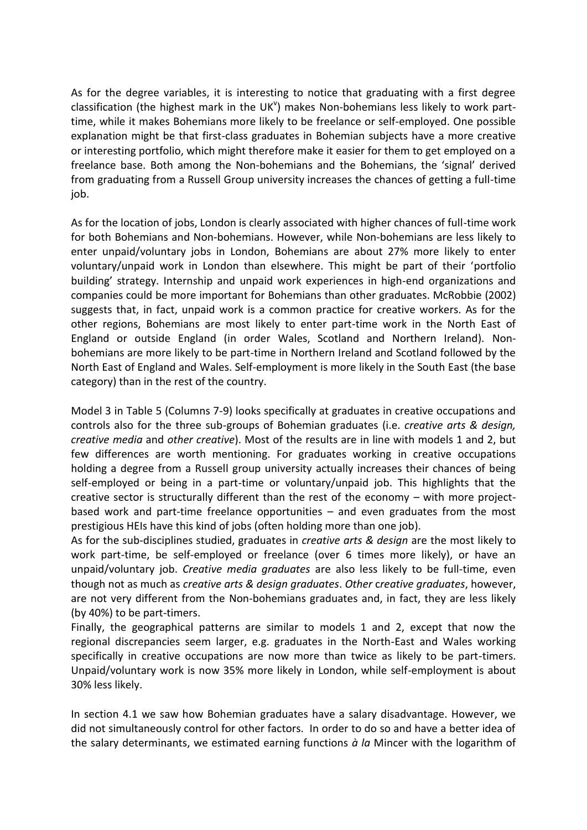As for the degree variables, it is interesting to notice that graduating with a first degree classification (the highest mark in the UK $v$ ) makes Non-bohemians less likely to work parttime, while it makes Bohemians more likely to be freelance or self-employed. One possible explanation might be that first-class graduates in Bohemian subjects have a more creative or interesting portfolio, which might therefore make it easier for them to get employed on a freelance base. Both among the Non-bohemians and the Bohemians, the 'signal' derived from graduating from a Russell Group university increases the chances of getting a full-time job.

As for the location of jobs, London is clearly associated with higher chances of full-time work for both Bohemians and Non-bohemians. However, while Non-bohemians are less likely to enter unpaid/voluntary jobs in London, Bohemians are about 27% more likely to enter voluntary/unpaid work in London than elsewhere. This might be part of their 'portfolio building' strategy. Internship and unpaid work experiences in high-end organizations and companies could be more important for Bohemians than other graduates. McRobbie [\(2002\)](#page-28-15) suggests that, in fact, unpaid work is a common practice for creative workers. As for the other regions, Bohemians are most likely to enter part-time work in the North East of England or outside England (in order Wales, Scotland and Northern Ireland). Nonbohemians are more likely to be part-time in Northern Ireland and Scotland followed by the North East of England and Wales. Self-employment is more likely in the South East (the base category) than in the rest of the country.

Model 3 in Table 5 (Columns 7-9) looks specifically at graduates in creative occupations and controls also for the three sub-groups of Bohemian graduates (i.e. *creative arts & design, creative media* and *other creative*). Most of the results are in line with models 1 and 2, but few differences are worth mentioning. For graduates working in creative occupations holding a degree from a Russell group university actually increases their chances of being self-employed or being in a part-time or voluntary/unpaid job. This highlights that the creative sector is structurally different than the rest of the economy – with more projectbased work and part-time freelance opportunities – and even graduates from the most prestigious HEIs have this kind of jobs (often holding more than one job).

As for the sub-disciplines studied, graduates in *creative arts & design* are the most likely to work part-time, be self-employed or freelance (over 6 times more likely), or have an unpaid/voluntary job. *Creative media graduates* are also less likely to be full-time, even though not as much as *creative arts & design graduates*. *Other* c*reative graduates*, however, are not very different from the Non-bohemians graduates and, in fact, they are less likely (by 40%) to be part-timers.

Finally, the geographical patterns are similar to models 1 and 2, except that now the regional discrepancies seem larger, e.g. graduates in the North-East and Wales working specifically in creative occupations are now more than twice as likely to be part-timers. Unpaid/voluntary work is now 35% more likely in London, while self-employment is about 30% less likely.

In section 4.1 we saw how Bohemian graduates have a salary disadvantage. However, we did not simultaneously control for other factors. In order to do so and have a better idea of the salary determinants, we estimated earning functions *à la* Mincer with the logarithm of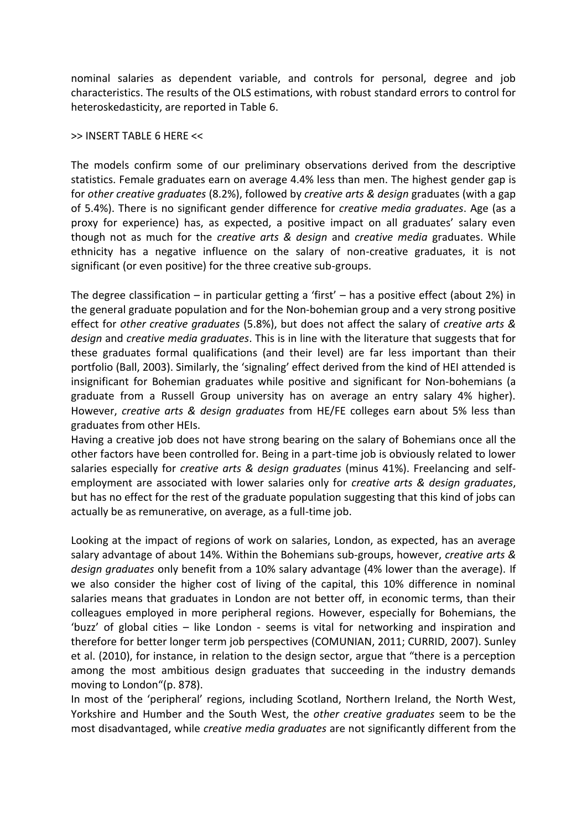nominal salaries as dependent variable, and controls for personal, degree and job characteristics. The results of the OLS estimations, with robust standard errors to control for heteroskedasticity, are reported in Table 6.

#### >> INSERT TABLE 6 HERE <<

The models confirm some of our preliminary observations derived from the descriptive statistics. Female graduates earn on average 4.4% less than men. The highest gender gap is for *other creative graduates* (8.2%), followed by *creative arts & design* graduates (with a gap of 5.4%). There is no significant gender difference for *creative media graduates*. Age (as a proxy for experience) has, as expected, a positive impact on all graduates' salary even though not as much for the *creative arts & design* and *creative media* graduates. While ethnicity has a negative influence on the salary of non-creative graduates, it is not significant (or even positive) for the three creative sub-groups.

The degree classification – in particular getting a 'first' – has a positive effect (about 2%) in the general graduate population and for the Non-bohemian group and a very strong positive effect for *other creative graduates* (5.8%), but does not affect the salary of *creative arts & design* and *creative media graduates*. This is in line with the literature that suggests that for these graduates formal qualifications (and their level) are far less important than their portfolio (Ball, 2003). Similarly, the 'signaling' effect derived from the kind of HEI attended is insignificant for Bohemian graduates while positive and significant for Non-bohemians (a graduate from a Russell Group university has on average an entry salary 4% higher). However, *creative arts & design graduates* from HE/FE colleges earn about 5% less than graduates from other HEIs.

Having a creative job does not have strong bearing on the salary of Bohemians once all the other factors have been controlled for. Being in a part-time job is obviously related to lower salaries especially for *creative arts & design graduates* (minus 41%). Freelancing and selfemployment are associated with lower salaries only for *creative arts & design graduates*, but has no effect for the rest of the graduate population suggesting that this kind of jobs can actually be as remunerative, on average, as a full-time job.

Looking at the impact of regions of work on salaries, London, as expected, has an average salary advantage of about 14%. Within the Bohemians sub-groups, however, *creative arts & design graduates* only benefit from a 10% salary advantage (4% lower than the average). If we also consider the higher cost of living of the capital, this 10% difference in nominal salaries means that graduates in London are not better off, in economic terms, than their colleagues employed in more peripheral regions. However, especially for Bohemians, the 'buzz' of global cities – like London - seems is vital for networking and inspiration and therefore for better longer term job perspectives [\(COMUNIAN, 2011;](#page-26-13) [CURRID, 2007\)](#page-27-10). Sunley et al. (2010), for instance, in relation to the design sector, argue that "there is a perception among the most ambitious design graduates that succeeding in the industry demands moving to London"(p. 878).

In most of the 'peripheral' regions, including Scotland, Northern Ireland, the North West, Yorkshire and Humber and the South West, the *other creative graduates* seem to be the most disadvantaged, while *creative media graduates* are not significantly different from the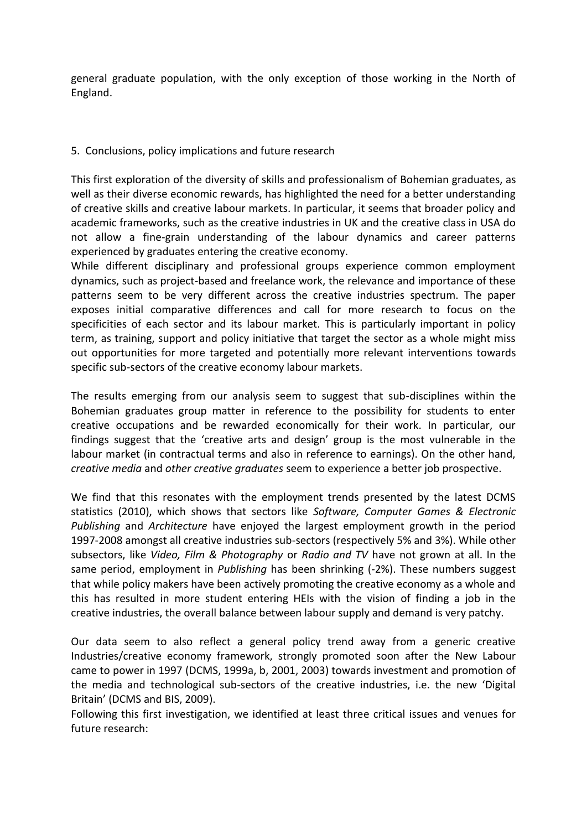general graduate population, with the only exception of those working in the North of England.

## 5. Conclusions, policy implications and future research

This first exploration of the diversity of skills and professionalism of Bohemian graduates, as well as their diverse economic rewards, has highlighted the need for a better understanding of creative skills and creative labour markets. In particular, it seems that broader policy and academic frameworks, such as the creative industries in UK and the creative class in USA do not allow a fine-grain understanding of the labour dynamics and career patterns experienced by graduates entering the creative economy.

While different disciplinary and professional groups experience common employment dynamics, such as project-based and freelance work, the relevance and importance of these patterns seem to be very different across the creative industries spectrum. The paper exposes initial comparative differences and call for more research to focus on the specificities of each sector and its labour market. This is particularly important in policy term, as training, support and policy initiative that target the sector as a whole might miss out opportunities for more targeted and potentially more relevant interventions towards specific sub-sectors of the creative economy labour markets.

The results emerging from our analysis seem to suggest that sub-disciplines within the Bohemian graduates group matter in reference to the possibility for students to enter creative occupations and be rewarded economically for their work. In particular, our findings suggest that the 'creative arts and design' group is the most vulnerable in the labour market (in contractual terms and also in reference to earnings). On the other hand, *creative media* and *other creative graduates* seem to experience a better job prospective.

We find that this resonates with the employment trends presented by the latest DCMS statistics (2010), which shows that sectors like *Software, Computer Games & Electronic Publishing* and *Architecture* have enjoyed the largest employment growth in the period 1997-2008 amongst all creative industries sub-sectors (respectively 5% and 3%). While other subsectors, like *Video, Film & Photography* or *Radio and TV* have not grown at all. In the same period, employment in *Publishing* has been shrinking (-2%). These numbers suggest that while policy makers have been actively promoting the creative economy as a whole and this has resulted in more student entering HEIs with the vision of finding a job in the creative industries, the overall balance between labour supply and demand is very patchy.

Our data seem to also reflect a general policy trend away from a generic creative Industries/creative economy framework, strongly promoted soon after the New Labour came to power in 1997 [\(DCMS, 1999a,](#page-27-11) [b,](#page-27-12) [2001,](#page-27-7) [2003\)](#page-27-13) towards investment and promotion of the media and technological sub-sectors of the creative industries, i.e. the new 'Digital Britain' [\(DCMS and BIS, 2009\)](#page-27-14).

Following this first investigation, we identified at least three critical issues and venues for future research: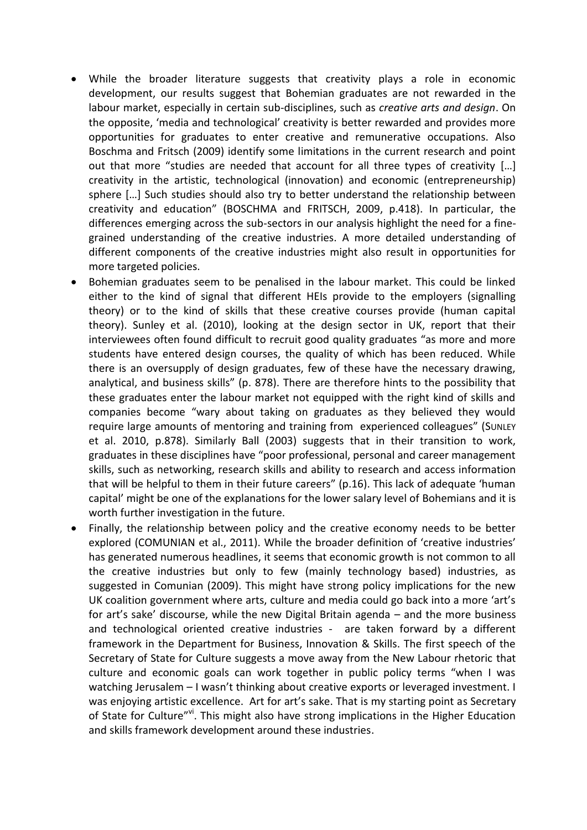- While the broader literature suggests that creativity plays a role in economic development, our results suggest that Bohemian graduates are not rewarded in the labour market, especially in certain sub-disciplines, such as *creative arts and design*. On the opposite, 'media and technological' creativity is better rewarded and provides more opportunities for graduates to enter creative and remunerative occupations. Also Boschma and Fritsch (2009) identify some limitations in the current research and point out that more "studies are needed that account for all three types of creativity […] creativity in the artistic, technological (innovation) and economic (entrepreneurship) sphere  $[...]$  Such studies should also try to better understand the relationship between creativity and education" [\(BOSCHMA and FRITSCH, 2009, p.418\)](#page-26-14). In particular, the differences emerging across the sub-sectors in our analysis highlight the need for a finegrained understanding of the creative industries. A more detailed understanding of different components of the creative industries might also result in opportunities for more targeted policies.
- Bohemian graduates seem to be penalised in the labour market. This could be linked either to the kind of signal that different HEIs provide to the employers (signalling theory) or to the kind of skills that these creative courses provide (human capital theory). Sunley et al. (2010), looking at the design sector in UK, report that their interviewees often found difficult to recruit good quality graduates "as more and more students have entered design courses, the quality of which has been reduced. While there is an oversupply of design graduates, few of these have the necessary drawing, analytical, and business skills" (p. 878). There are therefore hints to the possibility that these graduates enter the labour market not equipped with the right kind of skills and companies become "wary about taking on graduates as they believed they would require large amounts of mentoring and training from experienced colleagues" (SUNLEY et al. 2010, p.878). Similarly Ball [\(2003\)](#page-26-15) suggests that in their transition to work, graduates in these disciplines have "poor professional, personal and career management skills, such as networking, research skills and ability to research and access information that will be helpful to them in their future careers" (p.16). This lack of adequate 'human capital' might be one of the explanations for the lower salary level of Bohemians and it is worth further investigation in the future.
- Finally, the relationship between policy and the creative economy needs to be better explored [\(COMUNIAN et al., 2011\)](#page-26-16). While the broader definition of 'creative industries' has generated numerous headlines, it seems that economic growth is not common to all the creative industries but only to few (mainly technology based) industries, as suggested in Comunian (2009). This might have strong policy implications for the new UK coalition government where arts, culture and media could go back into a more 'art's for art's sake' discourse, while the new Digital Britain agenda – and the more business and technological oriented creative industries - are taken forward by a different framework in the Department for Business, Innovation & Skills. The first speech of the Secretary of State for Culture suggests a move away from the New Labour rhetoric that culture and economic goals can work together in public policy terms "when I was watching Jerusalem – I wasn't thinking about creative exports or leveraged investment. I was enjoying artistic excellence. Art for art's sake. That is my starting point as Secretary of State for Culture"vi. This might also have strong implications in the Higher Education and skills framework development around these industries.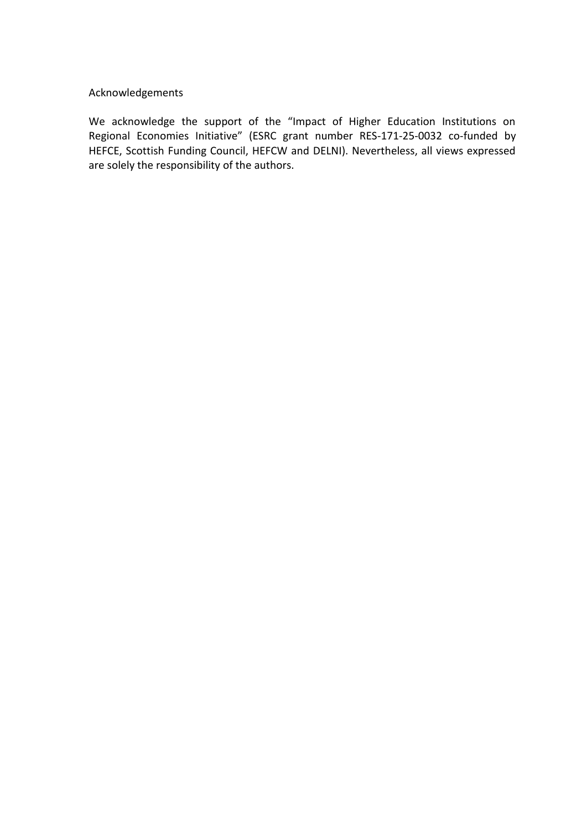# Acknowledgements

We acknowledge the support of the "Impact of Higher Education Institutions on Regional Economies Initiative" (ESRC grant number RES-171-25-0032 co-funded by HEFCE, Scottish Funding Council, HEFCW and DELNI). Nevertheless, all views expressed are solely the responsibility of the authors.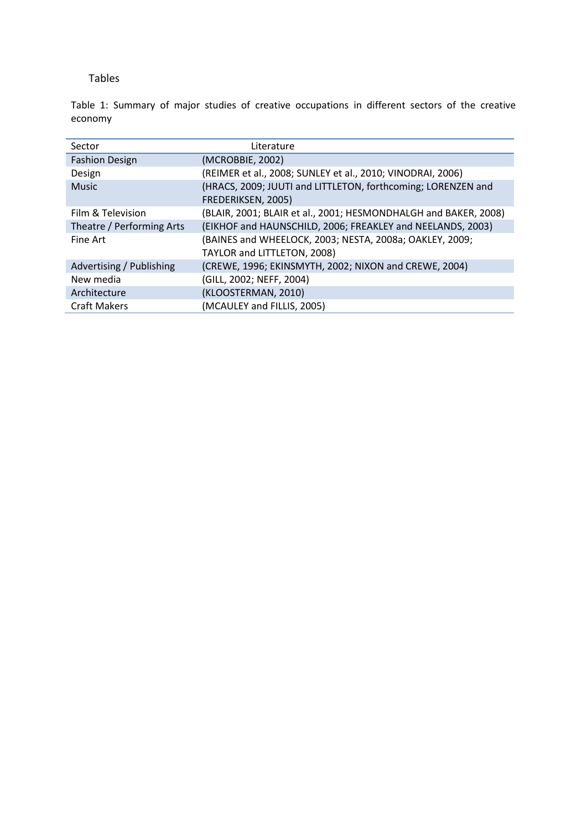#### Tables

Table 1: Summary of major studies of creative occupations in different sectors of the creative economy

| Sector                    | Literature                                                      |
|---------------------------|-----------------------------------------------------------------|
| <b>Fashion Design</b>     | (MCROBBIE, 2002)                                                |
| Design                    | (REIMER et al., 2008; SUNLEY et al., 2010; VINODRAI, 2006)      |
| <b>Music</b>              | (HRACS, 2009; JUUTI and LITTLETON, forthcoming; LORENZEN and    |
|                           | FREDERIKSEN, 2005)                                              |
| Film & Television         | (BLAIR, 2001; BLAIR et al., 2001; HESMONDHALGH and BAKER, 2008) |
| Theatre / Performing Arts | (EIKHOF and HAUNSCHILD, 2006; FREAKLEY and NEELANDS, 2003)      |
| Fine Art                  | (BAINES and WHEELOCK, 2003; NESTA, 2008a; OAKLEY, 2009;         |
|                           | TAYLOR and LITTLETON, 2008)                                     |
| Advertising / Publishing  | (CREWE, 1996; EKINSMYTH, 2002; NIXON and CREWE, 2004)           |
| New media                 | (GILL, 2002; NEFF, 2004)                                        |
| Architecture              | (KLOOSTERMAN, 2010)                                             |
| <b>Craft Makers</b>       | (MCAULEY and FILLIS, 2005)                                      |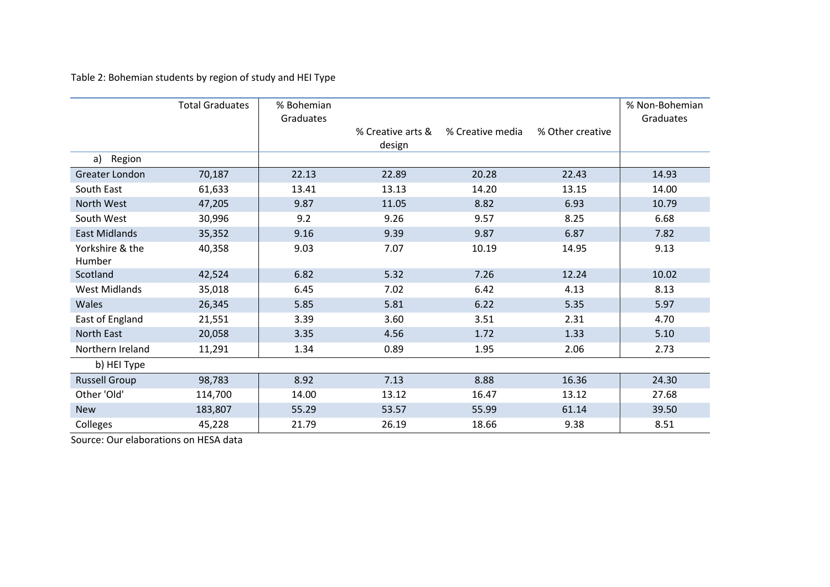Table 2: Bohemian students by region of study and HEI Type

|                           | <b>Total Graduates</b> | % Bohemian<br>Graduates |                             |                  |                  | % Non-Bohemian<br>Graduates |
|---------------------------|------------------------|-------------------------|-----------------------------|------------------|------------------|-----------------------------|
|                           |                        |                         | % Creative arts &<br>design | % Creative media | % Other creative |                             |
| Region<br>a)              |                        |                         |                             |                  |                  |                             |
| Greater London            | 70,187                 | 22.13                   | 22.89                       | 20.28            | 22.43            | 14.93                       |
| South East                | 61,633                 | 13.41                   | 13.13                       | 14.20            | 13.15            | 14.00                       |
| North West                | 47,205                 | 9.87                    | 11.05                       | 8.82             | 6.93             | 10.79                       |
| South West                | 30,996                 | 9.2                     | 9.26                        | 9.57             | 8.25             | 6.68                        |
| <b>East Midlands</b>      | 35,352                 | 9.16                    | 9.39                        | 9.87             | 6.87             | 7.82                        |
| Yorkshire & the<br>Humber | 40,358                 | 9.03                    | 7.07                        | 10.19            | 14.95            | 9.13                        |
| Scotland                  | 42,524                 | 6.82                    | 5.32                        | 7.26             | 12.24            | 10.02                       |
| <b>West Midlands</b>      | 35,018                 | 6.45                    | 7.02                        | 6.42             | 4.13             | 8.13                        |
| Wales                     | 26,345                 | 5.85                    | 5.81                        | 6.22             | 5.35             | 5.97                        |
| East of England           | 21,551                 | 3.39                    | 3.60                        | 3.51             | 2.31             | 4.70                        |
| North East                | 20,058                 | 3.35                    | 4.56                        | 1.72             | 1.33             | 5.10                        |
| Northern Ireland          | 11,291                 | 1.34                    | 0.89                        | 1.95             | 2.06             | 2.73                        |
| b) HEI Type               |                        |                         |                             |                  |                  |                             |
| <b>Russell Group</b>      | 98,783                 | 8.92                    | 7.13                        | 8.88             | 16.36            | 24.30                       |
| Other 'Old'               | 114,700                | 14.00                   | 13.12                       | 16.47            | 13.12            | 27.68                       |
| <b>New</b>                | 183,807                | 55.29                   | 53.57                       | 55.99            | 61.14            | 39.50                       |
| Colleges                  | 45,228                 | 21.79                   | 26.19                       | 18.66            | 9.38             | 8.51                        |

Source: Our elaborations on HESA data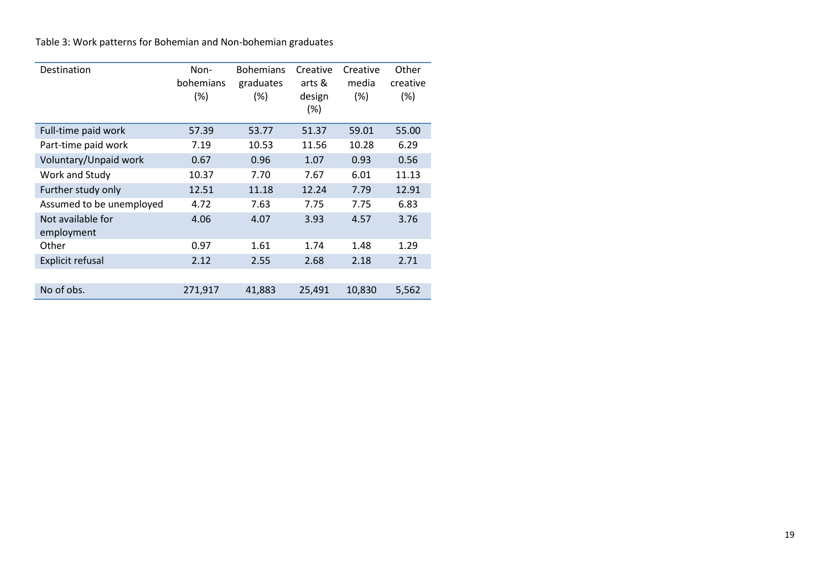Table 3: Work patterns for Bohemian and Non-bohemian graduates

| Destination                     | Non-<br>bohemians<br>$(\%)$ | <b>Bohemians</b><br>graduates<br>$(\%)$ | Creative<br>arts &<br>design<br>$(\%)$ | Creative<br>media<br>(%) | Other<br>creative<br>$(\%)$ |
|---------------------------------|-----------------------------|-----------------------------------------|----------------------------------------|--------------------------|-----------------------------|
| Full-time paid work             | 57.39                       | 53.77                                   | 51.37                                  | 59.01                    | 55.00                       |
| Part-time paid work             | 7.19                        | 10.53                                   | 11.56                                  | 10.28                    | 6.29                        |
| Voluntary/Unpaid work           | 0.67                        | 0.96                                    | 1.07                                   | 0.93                     | 0.56                        |
| Work and Study                  | 10.37                       | 7.70                                    | 7.67                                   | 6.01                     | 11.13                       |
| Further study only              | 12.51                       | 11.18                                   | 12.24                                  | 7.79                     | 12.91                       |
| Assumed to be unemployed        | 4.72                        | 7.63                                    | 7.75                                   | 7.75                     | 6.83                        |
| Not available for<br>employment | 4.06                        | 4.07                                    | 3.93                                   | 4.57                     | 3.76                        |
| Other                           | 0.97                        | 1.61                                    | 1.74                                   | 1.48                     | 1.29                        |
| <b>Explicit refusal</b>         | 2.12                        | 2.55                                    | 2.68                                   | 2.18                     | 2.71                        |
|                                 |                             |                                         |                                        |                          |                             |
| No of obs.                      | 271,917                     | 41,883                                  | 25,491                                 | 10,830                   | 5,562                       |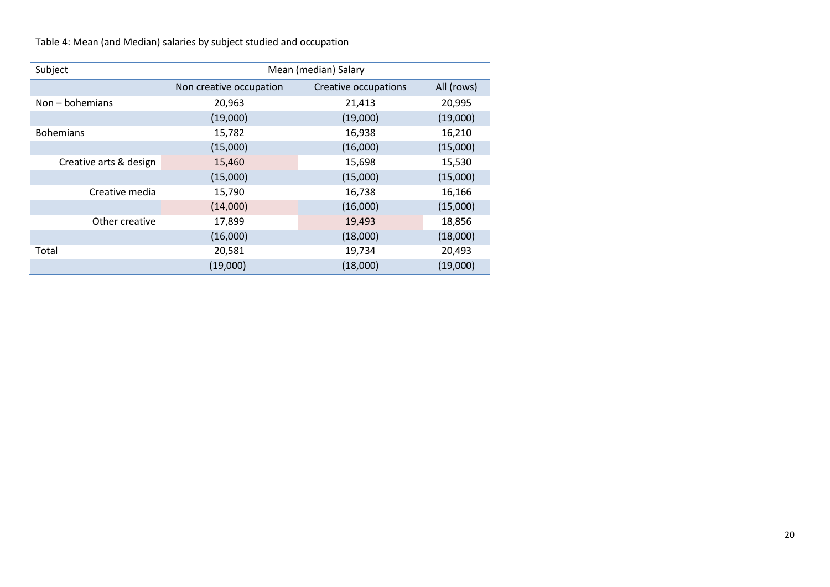Table 4: Mean (and Median) salaries by subject studied and occupation

| Subject                | Mean (median) Salary    |                      |            |  |  |  |  |  |
|------------------------|-------------------------|----------------------|------------|--|--|--|--|--|
|                        | Non creative occupation | Creative occupations | All (rows) |  |  |  |  |  |
| $Non-bohemians$        | 20,963                  | 21,413               | 20,995     |  |  |  |  |  |
|                        | (19,000)                | (19,000)             | (19,000)   |  |  |  |  |  |
| <b>Bohemians</b>       | 15,782                  | 16,938               | 16,210     |  |  |  |  |  |
|                        | (15,000)                | (16,000)             | (15,000)   |  |  |  |  |  |
| Creative arts & design | 15,460                  | 15,698               | 15,530     |  |  |  |  |  |
|                        | (15,000)                | (15,000)             | (15,000)   |  |  |  |  |  |
| Creative media         | 15,790                  | 16,738               | 16,166     |  |  |  |  |  |
|                        | (14,000)                | (16,000)             | (15,000)   |  |  |  |  |  |
| Other creative         | 17,899                  | 19,493               | 18,856     |  |  |  |  |  |
|                        | (16,000)                | (18,000)             | (18,000)   |  |  |  |  |  |
| Total                  | 20,581                  | 19,734               | 20,493     |  |  |  |  |  |
|                        | (19,000)                | (18,000)             | (19,000)   |  |  |  |  |  |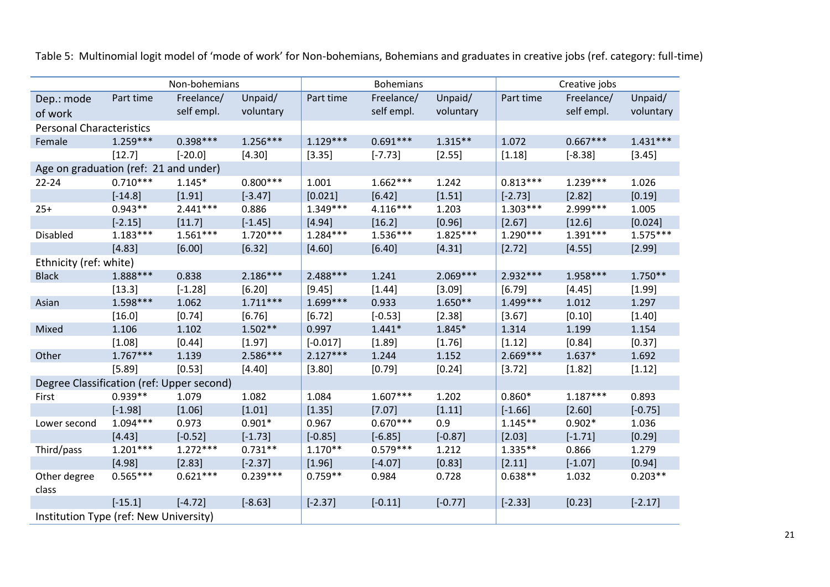|                                           |            | Non-bohemians |            | <b>Bohemians</b> |            |            | Creative jobs |            |            |
|-------------------------------------------|------------|---------------|------------|------------------|------------|------------|---------------|------------|------------|
| Dep.: mode                                | Part time  | Freelance/    | Unpaid/    | Part time        | Freelance/ | Unpaid/    | Part time     | Freelance/ | Unpaid/    |
| of work                                   |            | self empl.    | voluntary  |                  | self empl. | voluntary  |               | self empl. | voluntary  |
| <b>Personal Characteristics</b>           |            |               |            |                  |            |            |               |            |            |
| Female                                    | $1.259***$ | $0.398***$    | $1.256***$ | $1.129***$       | $0.691***$ | $1.315**$  | 1.072         | $0.667***$ | $1.431***$ |
|                                           | [12.7]     | $[-20.0]$     | [4.30]     | [3.35]           | $[-7.73]$  | [2.55]     | [1.18]        | $[-8.38]$  | [3.45]     |
| Age on graduation (ref: 21 and under)     |            |               |            |                  |            |            |               |            |            |
| 22-24                                     | $0.710***$ | $1.145*$      | $0.800***$ | 1.001            | $1.662***$ | 1.242      | $0.813***$    | $1.239***$ | 1.026      |
|                                           | $[-14.8]$  | [1.91]        | $[-3.47]$  | [0.021]          | [6.42]     | [1.51]     | $[-2.73]$     | [2.82]     | [0.19]     |
| $25+$                                     | $0.943**$  | $2.441***$    | 0.886      | $1.349***$       | $4.116***$ | 1.203      | $1.303***$    | 2.999 ***  | 1.005      |
|                                           | $[-2.15]$  | [11.7]        | $[-1.45]$  | [4.94]           | [16.2]     | [0.96]     | [2.67]        | [12.6]     | [0.024]    |
| Disabled                                  | $1.183***$ | $1.561***$    | $1.720***$ | $1.284***$       | $1.536***$ | $1.825***$ | $1.290***$    | $1.391***$ | $1.575***$ |
|                                           | [4.83]     | [6.00]        | [6.32]     | [4.60]           | [6.40]     | [4.31]     | [2.72]        | [4.55]     | [2.99]     |
| Ethnicity (ref: white)                    |            |               |            |                  |            |            |               |            |            |
| <b>Black</b>                              | 1.888***   | 0.838         | $2.186***$ | 2.488***         | 1.241      | $2.069***$ | $2.932***$    | 1.958***   | $1.750**$  |
|                                           | [13.3]     | $[-1.28]$     | [6.20]     | [9.45]           | [1.44]     | [3.09]     | [6.79]        | [4.45]     | [1.99]     |
| Asian                                     | $1.598***$ | 1.062         | $1.711***$ | $1.699***$       | 0.933      | $1.650**$  | $1.499***$    | 1.012      | 1.297      |
|                                           | [16.0]     | [0.74]        | [6.76]     | [6.72]           | $[-0.53]$  | [2.38]     | [3.67]        | [0.10]     | [1.40]     |
| Mixed                                     | 1.106      | 1.102         | $1.502**$  | 0.997            | $1.441*$   | 1.845*     | 1.314         | 1.199      | 1.154      |
|                                           | [1.08]     | [0.44]        | [1.97]     | $[-0.017]$       | [1.89]     | [1.76]     | [1.12]        | [0.84]     | [0.37]     |
| Other                                     | $1.767***$ | 1.139         | 2.586***   | $2.127***$       | 1.244      | 1.152      | $2.669***$    | $1.637*$   | 1.692      |
|                                           | [5.89]     | [0.53]        | [4.40]     | [3.80]           | [0.79]     | [0.24]     | [3.72]        | [1.82]     | [1.12]     |
| Degree Classification (ref: Upper second) |            |               |            |                  |            |            |               |            |            |
| First                                     | $0.939**$  | 1.079         | 1.082      | 1.084            | $1.607***$ | 1.202      | $0.860*$      | $1.187***$ | 0.893      |
|                                           | $[-1.98]$  | [1.06]        | [1.01]     | [1.35]           | [7.07]     | [1.11]     | $[-1.66]$     | [2.60]     | $[-0.75]$  |
| Lower second                              | $1.094***$ | 0.973         | $0.901*$   | 0.967            | $0.670***$ | 0.9        | $1.145**$     | $0.902*$   | 1.036      |
|                                           | [4.43]     | $[-0.52]$     | $[-1.73]$  | $[-0.85]$        | $[-6.85]$  | $[-0.87]$  | [2.03]        | $[-1.71]$  | [0.29]     |
| Third/pass                                | $1.201***$ | $1.272***$    | $0.731**$  | $1.170**$        | $0.579***$ | 1.212      | $1.335**$     | 0.866      | 1.279      |
|                                           | [4.98]     | [2.83]        | $[-2.37]$  | [1.96]           | $[-4.07]$  | [0.83]     | [2.11]        | $[-1.07]$  | [0.94]     |
| Other degree<br>class                     | $0.565***$ | $0.621***$    | $0.239***$ | $0.759**$        | 0.984      | 0.728      | $0.638**$     | 1.032      | $0.203**$  |
|                                           | $[-15.1]$  | $[-4.72]$     | $[-8.63]$  | $[-2.37]$        | $[-0.11]$  | $[-0.77]$  | $[-2.33]$     | [0.23]     | $[-2.17]$  |
| Institution Type (ref: New University)    |            |               |            |                  |            |            |               |            |            |

Table 5: Multinomial logit model of 'mode of work' for Non-bohemians, Bohemians and graduates in creative jobs (ref. category: full-time)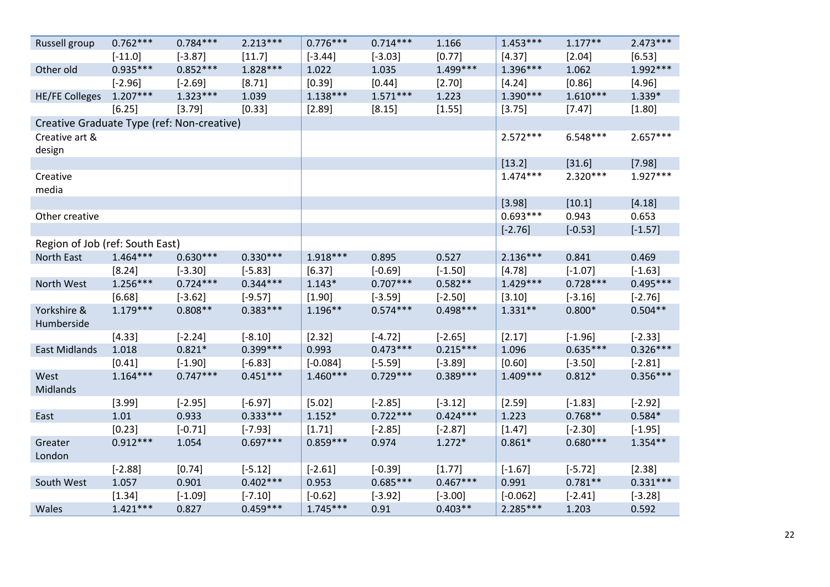| Russell group                              | $0.762***$ | $0.784***$ | $2.213***$ | $0.776***$ | $0.714***$ | 1.166      | $1.453***$ | $1.177**$  | $2.473***$ |
|--------------------------------------------|------------|------------|------------|------------|------------|------------|------------|------------|------------|
|                                            | $[-11.0]$  | $[-3.87]$  | [11.7]     | $[-3.44]$  | $[-3.03]$  | [0.77]     | [4.37]     | [2.04]     | [6.53]     |
| Other old                                  | $0.935***$ | $0.852***$ | $1.828***$ | 1.022      | 1.035      | $1.499***$ | $1.396***$ | 1.062      | 1.992 ***  |
|                                            | $[-2.96]$  | $[-2.69]$  | [8.71]     | [0.39]     | [0.44]     | [2.70]     | [4.24]     | [0.86]     | [4.96]     |
| <b>HE/FE Colleges</b>                      | $1.207***$ | $1.323***$ | 1.039      | $1.138***$ | $1.571***$ | 1.223      | $1.390***$ | $1.610***$ | 1.339*     |
|                                            | [6.25]     | [3.79]     | [0.33]     | [2.89]     | [8.15]     | [1.55]     | [3.75]     | [7.47]     | [1.80]     |
| Creative Graduate Type (ref: Non-creative) |            |            |            |            |            |            |            |            |            |
| Creative art &<br>design                   |            |            |            |            |            |            | $2.572***$ | $6.548***$ | $2.657***$ |
|                                            |            |            |            |            |            |            | [13.2]     | [31.6]     | [7.98]     |
| Creative<br>media                          |            |            |            |            |            |            | $1.474***$ | $2.320***$ | $1.927***$ |
|                                            |            |            |            |            |            |            | [3.98]     | [10.1]     | [4.18]     |
| Other creative                             |            |            |            |            |            |            | $0.693***$ | 0.943      | 0.653      |
|                                            |            |            |            |            |            |            | $[-2.76]$  | $[-0.53]$  | $[-1.57]$  |
| Region of Job (ref: South East)            |            |            |            |            |            |            |            |            |            |
| North East                                 | $1.464***$ | $0.630***$ | $0.330***$ | $1.918***$ | 0.895      | 0.527      | $2.136***$ | 0.841      | 0.469      |
|                                            | [8.24]     | $[-3.30]$  | $[-5.83]$  | [6.37]     | $[-0.69]$  | $[-1.50]$  | [4.78]     | $[-1.07]$  | $[-1.63]$  |
| North West                                 | $1.256***$ | $0.724***$ | $0.344***$ | $1.143*$   | $0.707***$ | $0.582**$  | $1.429***$ | $0.728***$ | $0.495***$ |
|                                            | [6.68]     | $[-3.62]$  | $[-9.57]$  | [1.90]     | $[-3.59]$  | $[-2.50]$  | [3.10]     | $[-3.16]$  | $[-2.76]$  |
| Yorkshire &<br>Humberside                  | $1.179***$ | $0.808**$  | $0.383***$ | $1.196**$  | $0.574***$ | $0.498***$ | $1.331**$  | $0.800*$   | $0.504**$  |
|                                            | [4.33]     | $[-2.24]$  | $[-8.10]$  | [2.32]     | $[-4.72]$  | $[-2.65]$  | [2.17]     | $[-1.96]$  | $[-2.33]$  |
| <b>East Midlands</b>                       | 1.018      | $0.821*$   | $0.399***$ | 0.993      | $0.473***$ | $0.215***$ | 1.096      | $0.635***$ | $0.326***$ |
|                                            | [0.41]     | $[-1.90]$  | $[-6.83]$  | $[-0.084]$ | $[-5.59]$  | $[-3.89]$  | [0.60]     | $[-3.50]$  | $[-2.81]$  |
| West<br>Midlands                           | $1.164***$ | $0.747***$ | $0.451***$ | $1.460***$ | $0.729***$ | $0.389***$ | $1.409***$ | $0.812*$   | $0.356***$ |
|                                            | [3.99]     | $[-2.95]$  | $[-6.97]$  | [5.02]     | $[-2.85]$  | $[-3.12]$  | [2.59]     | $[-1.83]$  | $[-2.92]$  |
| East                                       | 1.01       | 0.933      | $0.333***$ | $1.152*$   | $0.722***$ | $0.424***$ | 1.223      | $0.768**$  | $0.584*$   |
|                                            | [0.23]     | $[-0.71]$  | $[-7.93]$  | [1.71]     | $[-2.85]$  | $[-2.87]$  | [1.47]     | $[-2.30]$  | $[-1.95]$  |
| Greater<br>London                          | $0.912***$ | 1.054      | $0.697***$ | $0.859***$ | 0.974      | $1.272*$   | $0.861*$   | $0.680***$ | $1.354**$  |
|                                            | $[-2.88]$  | [0.74]     | $[-5.12]$  | $[-2.61]$  | $[-0.39]$  | [1.77]     | $[-1.67]$  | $[-5.72]$  | [2.38]     |
| South West                                 | 1.057      | 0.901      | $0.402***$ | 0.953      | $0.685***$ | $0.467***$ | 0.991      | $0.781**$  | $0.331***$ |
|                                            | [1.34]     | $[-1.09]$  | $[-7.10]$  | $[-0.62]$  | $[-3.92]$  | $[-3.00]$  | $[-0.062]$ | $[-2.41]$  | $[-3.28]$  |
| Wales                                      | $1.421***$ | 0.827      | $0.459***$ | $1.745***$ | 0.91       | $0.403**$  | $2.285***$ | 1.203      | 0.592      |

22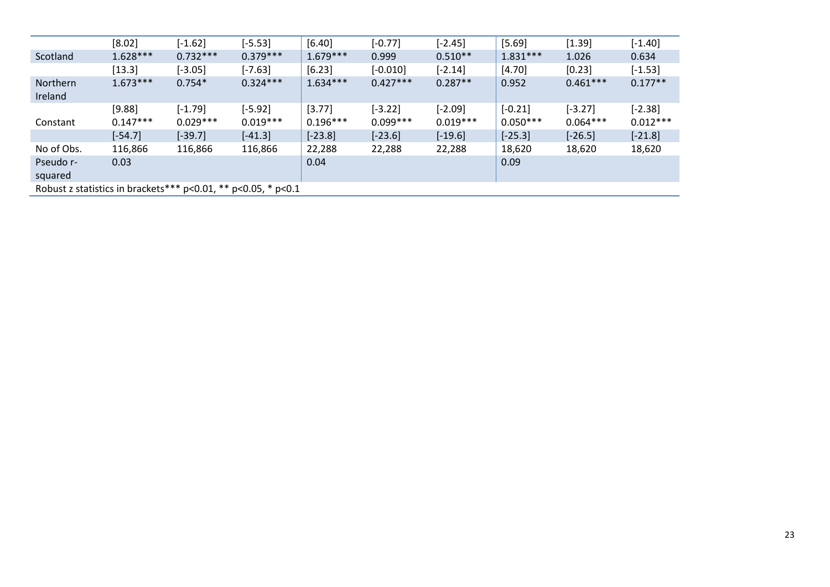|                                                                       | [8.02]     | $[-1.62]$  | $[-5.53]$  | [6.40]     | $[-0.77]$  | $[-2.45]$  | [5.69]     | [1.39]     | $[-1.40]$  |
|-----------------------------------------------------------------------|------------|------------|------------|------------|------------|------------|------------|------------|------------|
| Scotland                                                              | $1.628***$ | $0.732***$ | $0.379***$ | $1.679***$ | 0.999      | $0.510**$  | $1.831***$ | 1.026      | 0.634      |
|                                                                       | [13.3]     | $[-3.05]$  | $[-7.63]$  | [6.23]     | $[-0.010]$ | $[-2.14]$  | [4.70]     | [0.23]     | $[-1.53]$  |
| <b>Northern</b><br>Ireland                                            | $1.673***$ | $0.754*$   | $0.324***$ | $1.634***$ | $0.427***$ | $0.287**$  | 0.952      | $0.461***$ | $0.177**$  |
|                                                                       | [9.88]     | $[-1.79]$  | $[-5.92]$  | [3.77]     | $[-3.22]$  | $[-2.09]$  | $[-0.21]$  | $[-3.27]$  | $[-2.38]$  |
| Constant                                                              | $0.147***$ | $0.029***$ | $0.019***$ | $0.196***$ | $0.099***$ | $0.019***$ | $0.050***$ | $0.064***$ | $0.012***$ |
|                                                                       | $[-54.7]$  | $[-39.7]$  | $[-41.3]$  | $[-23.8]$  | $[-23.6]$  | $[-19.6]$  | $[-25.3]$  | $[-26.5]$  | $[-21.8]$  |
| No of Obs.                                                            | 116,866    | 116,866    | 116,866    | 22,288     | 22,288     | 22,288     | 18,620     | 18,620     | 18,620     |
| Pseudo r-                                                             | 0.03       |            |            | 0.04       |            |            | 0.09       |            |            |
| squared                                                               |            |            |            |            |            |            |            |            |            |
| Robust z statistics in brackets*** $p<0.01$ , ** $p<0.05$ , * $p<0.1$ |            |            |            |            |            |            |            |            |            |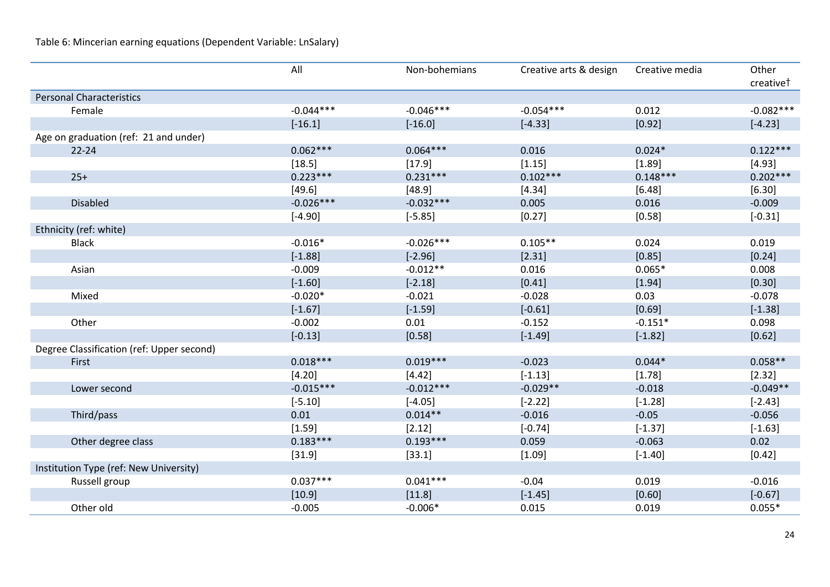Table 6: Mincerian earning equations (Dependent Variable: LnSalary)

|                                           | All         | Non-bohemians | Creative arts & design | Creative media | Other       |
|-------------------------------------------|-------------|---------------|------------------------|----------------|-------------|
|                                           |             |               |                        |                | creativet   |
| <b>Personal Characteristics</b>           |             |               |                        |                |             |
| Female                                    | $-0.044***$ | $-0.046***$   | $-0.054***$            | 0.012          | $-0.082***$ |
|                                           | $[-16.1]$   | $[-16.0]$     | $[-4.33]$              | [0.92]         | $[-4.23]$   |
| Age on graduation (ref: 21 and under)     |             |               |                        |                |             |
| $22 - 24$                                 | $0.062***$  | $0.064***$    | 0.016                  | $0.024*$       | $0.122***$  |
|                                           | [18.5]      | [17.9]        | [1.15]                 | [1.89]         | [4.93]      |
| $25+$                                     | $0.223***$  | $0.231***$    | $0.102***$             | $0.148***$     | $0.202***$  |
|                                           | [49.6]      | [48.9]        | [4.34]                 | [6.48]         | [6.30]      |
| <b>Disabled</b>                           | $-0.026***$ | $-0.032***$   | 0.005                  | 0.016          | $-0.009$    |
|                                           | $[-4.90]$   | $[-5.85]$     | [0.27]                 | [0.58]         | $[-0.31]$   |
| Ethnicity (ref: white)                    |             |               |                        |                |             |
| <b>Black</b>                              | $-0.016*$   | $-0.026***$   | $0.105**$              | 0.024          | 0.019       |
|                                           | $[-1.88]$   | $[-2.96]$     | [2.31]                 | [0.85]         | [0.24]      |
| Asian                                     | $-0.009$    | $-0.012**$    | 0.016                  | $0.065*$       | 0.008       |
|                                           | $[-1.60]$   | $[-2.18]$     | [0.41]                 | [1.94]         | [0.30]      |
| Mixed                                     | $-0.020*$   | $-0.021$      | $-0.028$               | 0.03           | $-0.078$    |
|                                           | $[-1.67]$   | $[-1.59]$     | $[-0.61]$              | [0.69]         | $[-1.38]$   |
| Other                                     | $-0.002$    | 0.01          | $-0.152$               | $-0.151*$      | 0.098       |
|                                           | $[-0.13]$   | [0.58]        | $[-1.49]$              | $[-1.82]$      | [0.62]      |
| Degree Classification (ref: Upper second) |             |               |                        |                |             |
| First                                     | $0.018***$  | $0.019***$    | $-0.023$               | $0.044*$       | $0.058**$   |
|                                           | [4.20]      | [4.42]        | $[-1.13]$              | [1.78]         | [2.32]      |
| Lower second                              | $-0.015***$ | $-0.012***$   | $-0.029**$             | $-0.018$       | $-0.049**$  |
|                                           | $[-5.10]$   | $[-4.05]$     | $[-2.22]$              | $[-1.28]$      | $[-2.43]$   |
| Third/pass                                | 0.01        | $0.014**$     | $-0.016$               | $-0.05$        | $-0.056$    |
|                                           | [1.59]      | [2.12]        | $[-0.74]$              | $[-1.37]$      | $[-1.63]$   |
| Other degree class                        | $0.183***$  | $0.193***$    | 0.059                  | $-0.063$       | 0.02        |
|                                           | [31.9]      | [33.1]        | [1.09]                 | $[-1.40]$      | [0.42]      |
| Institution Type (ref: New University)    |             |               |                        |                |             |
| Russell group                             | $0.037***$  | $0.041***$    | $-0.04$                | 0.019          | $-0.016$    |
|                                           | [10.9]      | [11.8]        | $[-1.45]$              | [0.60]         | $[-0.67]$   |
| Other old                                 | $-0.005$    | $-0.006*$     | 0.015                  | 0.019          | $0.055*$    |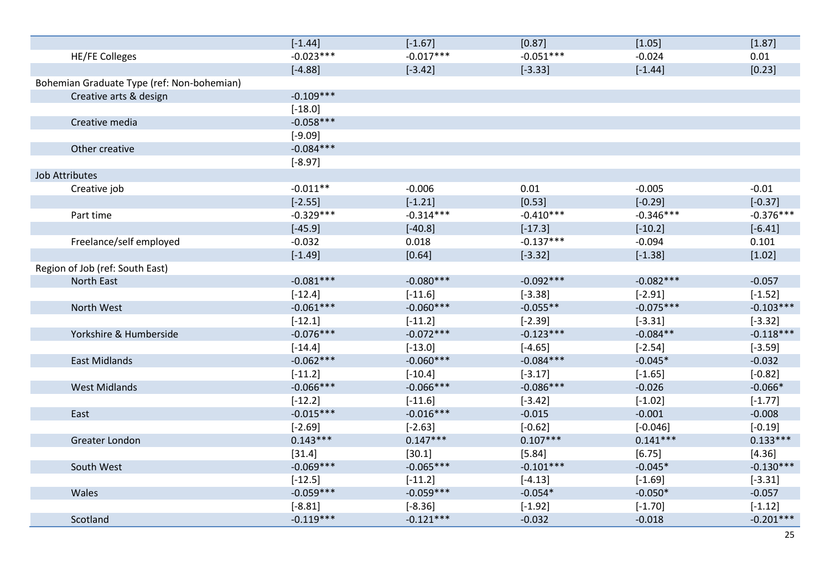|                                            | $[-1.44]$   | $[-1.67]$   | [0.87]      | [1.05]      | [1.87]      |
|--------------------------------------------|-------------|-------------|-------------|-------------|-------------|
| <b>HE/FE Colleges</b>                      | $-0.023***$ | $-0.017***$ | $-0.051***$ | $-0.024$    | 0.01        |
|                                            | $[-4.88]$   | $[-3.42]$   | $[-3.33]$   | $[-1.44]$   | [0.23]      |
| Bohemian Graduate Type (ref: Non-bohemian) |             |             |             |             |             |
| Creative arts & design                     | $-0.109***$ |             |             |             |             |
|                                            | $[-18.0]$   |             |             |             |             |
| Creative media                             | $-0.058***$ |             |             |             |             |
|                                            | $[-9.09]$   |             |             |             |             |
| Other creative                             | $-0.084***$ |             |             |             |             |
|                                            | $[-8.97]$   |             |             |             |             |
| Job Attributes                             |             |             |             |             |             |
| Creative job                               | $-0.011**$  | $-0.006$    | 0.01        | $-0.005$    | $-0.01$     |
|                                            | $[-2.55]$   | $[-1.21]$   | [0.53]      | $[-0.29]$   | $[-0.37]$   |
| Part time                                  | $-0.329***$ | $-0.314***$ | $-0.410***$ | $-0.346***$ | $-0.376***$ |
|                                            | $[-45.9]$   | $[-40.8]$   | $[-17.3]$   | $[-10.2]$   | $[-6.41]$   |
| Freelance/self employed                    | $-0.032$    | 0.018       | $-0.137***$ | $-0.094$    | 0.101       |
|                                            | $[-1.49]$   | [0.64]      | $[-3.32]$   | $[-1.38]$   | [1.02]      |
| Region of Job (ref: South East)            |             |             |             |             |             |
| North East                                 | $-0.081***$ | $-0.080***$ | $-0.092***$ | $-0.082***$ | $-0.057$    |
|                                            | $[-12.4]$   | $[-11.6]$   | $[-3.38]$   | $[-2.91]$   | $[-1.52]$   |
| North West                                 | $-0.061***$ | $-0.060***$ | $-0.055**$  | $-0.075***$ | $-0.103***$ |
|                                            | $[-12.1]$   | $[-11.2]$   | $[-2.39]$   | $[-3.31]$   | $[-3.32]$   |
| Yorkshire & Humberside                     | $-0.076***$ | $-0.072***$ | $-0.123***$ | $-0.084**$  | $-0.118***$ |
|                                            | $[-14.4]$   | $[-13.0]$   | $[-4.65]$   | $[-2.54]$   | $[-3.59]$   |
| <b>East Midlands</b>                       | $-0.062***$ | $-0.060***$ | $-0.084***$ | $-0.045*$   | $-0.032$    |
|                                            | $[-11.2]$   | $[-10.4]$   | $[-3.17]$   | $[-1.65]$   | $[-0.82]$   |
| <b>West Midlands</b>                       | $-0.066***$ | $-0.066***$ | $-0.086***$ | $-0.026$    | $-0.066*$   |
|                                            | $[-12.2]$   | $[-11.6]$   | $[-3.42]$   | $[-1.02]$   | $[-1.77]$   |
| East                                       | $-0.015***$ | $-0.016***$ | $-0.015$    | $-0.001$    | $-0.008$    |
|                                            | $[-2.69]$   | $[-2.63]$   | $[-0.62]$   | $[-0.046]$  | $[-0.19]$   |
| Greater London                             | $0.143***$  | $0.147***$  | $0.107***$  | $0.141***$  | $0.133***$  |
|                                            | [31.4]      | [30.1]      | [5.84]      | [6.75]      | [4.36]      |
| South West                                 | $-0.069***$ | $-0.065***$ | $-0.101***$ | $-0.045*$   | $-0.130***$ |
|                                            | $[-12.5]$   | $[-11.2]$   | $[-4.13]$   | $[-1.69]$   | $[-3.31]$   |
| Wales                                      | $-0.059***$ | $-0.059***$ | $-0.054*$   | $-0.050*$   | $-0.057$    |
|                                            | $[-8.81]$   | $[-8.36]$   | $[-1.92]$   | $[-1.70]$   | $[-1.12]$   |
| Scotland                                   | $-0.119***$ | $-0.121***$ | $-0.032$    | $-0.018$    | $-0.201***$ |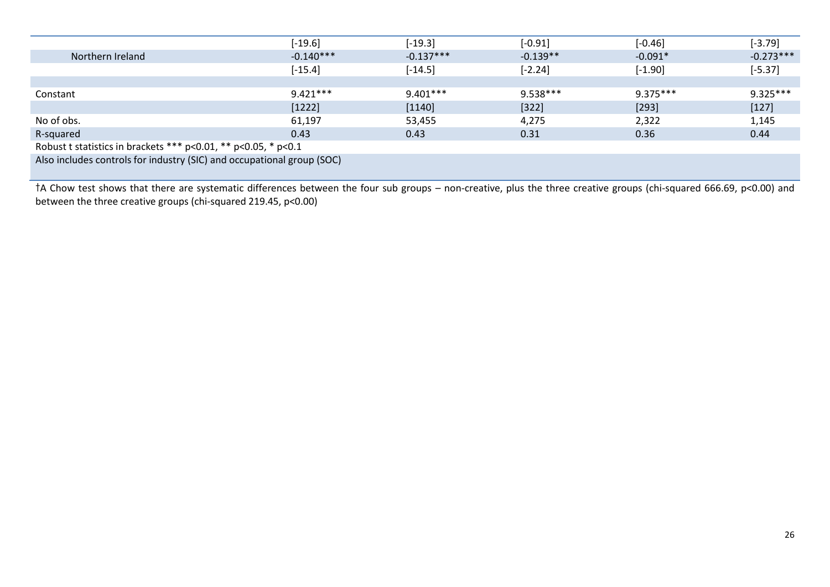|                                                                        | $[-19.6]$   | $[-19.3]$   | $[-0.91]$  | $[-0.46]$  | $[-3.79]$   |  |  |
|------------------------------------------------------------------------|-------------|-------------|------------|------------|-------------|--|--|
| Northern Ireland                                                       | $-0.140***$ | $-0.137***$ | $-0.139**$ | $-0.091*$  | $-0.273***$ |  |  |
|                                                                        | $[-15.4]$   | $[-14.5]$   | $[-2.24]$  | $[-1.90]$  | $[-5.37]$   |  |  |
|                                                                        |             |             |            |            |             |  |  |
| Constant                                                               | $9.421***$  | $9.401***$  | 9.538***   | $9.375***$ | $9.325***$  |  |  |
|                                                                        | [1222]      | [1140]      | $[322]$    | $[293]$    | $[127]$     |  |  |
| No of obs.                                                             | 61,197      | 53,455      | 4,275      | 2,322      | 1,145       |  |  |
| R-squared                                                              | 0.43        | 0.43        | 0.31       | 0.36       | 0.44        |  |  |
| Robust t statistics in brackets *** $p<0.01$ , ** $p<0.05$ , * $p<0.1$ |             |             |            |            |             |  |  |
| Also includes controls for industry (SIC) and occupational group (SOC) |             |             |            |            |             |  |  |

†A Chow test shows that there are systematic differences between the four sub groups – non-creative, plus the three creative groups (chi-squared 666.69, p<0.00) and between the three creative groups (chi-squared 219.45, p<0.00)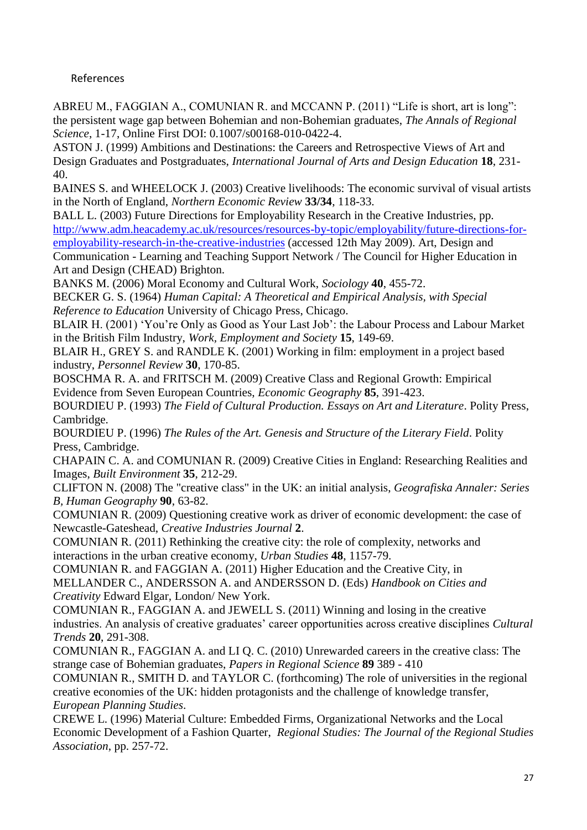# References

<span id="page-26-6"></span>ABREU M., FAGGIAN A., COMUNIAN R. and MCCANN P. (2011) "Life is short, art is long": the persistent wage gap between Bohemian and non-Bohemian graduates, *The Annals of Regional Science*, 1-17, Online First DOI: 0.1007/s00168-010-0422-4.

<span id="page-26-12"></span>ASTON J. (1999) Ambitions and Destinations: the Careers and Retrospective Views of Art and Design Graduates and Postgraduates, *International Journal of Arts and Design Education* **18**, 231- 40.

<span id="page-26-18"></span>BAINES S. and WHEELOCK J. (2003) Creative livelihoods: The economic survival of visual artists in the North of England, *Northern Economic Review* **33/34**, 118-33.

<span id="page-26-15"></span>BALL L. (2003) Future Directions for Employability Research in the Creative Industries, pp. [http://www.adm.heacademy.ac.uk/resources/resources-by-topic/employability/future-directions-for](http://www.adm.heacademy.ac.uk/resources/resources-by-topic/employability/future-directions-for-employability-research-in-the-creative-industries)[employability-research-in-the-creative-industries](http://www.adm.heacademy.ac.uk/resources/resources-by-topic/employability/future-directions-for-employability-research-in-the-creative-industries) (accessed 12th May 2009). Art, Design and

Communication - Learning and Teaching Support Network / The Council for Higher Education in Art and Design (CHEAD) Brighton.

<span id="page-26-2"></span>BANKS M. (2006) Moral Economy and Cultural Work, *Sociology* **40**, 455-72.

<span id="page-26-1"></span>BECKER G. S. (1964) *Human Capital: A Theoretical and Empirical Analysis, with Special Reference to Education* University of Chicago Press, Chicago.

<span id="page-26-17"></span>BLAIR H. (2001) 'You're Only as Good as Your Last Job': the Labour Process and Labour Market in the British Film Industry, *Work, Employment and Society* **15**, 149-69.

<span id="page-26-5"></span>BLAIR H., GREY S. and RANDLE K. (2001) Working in film: employment in a project based industry, *Personnel Review* **30**, 170-85.

<span id="page-26-14"></span>BOSCHMA R. A. and FRITSCH M. (2009) Creative Class and Regional Growth: Empirical Evidence from Seven European Countries, *Economic Geography* **85**, 391-423.

<span id="page-26-3"></span>BOURDIEU P. (1993) *The Field of Cultural Production. Essays on Art and Literature*. Polity Press, Cambridge.

<span id="page-26-4"></span>BOURDIEU P. (1996) *The Rules of the Art. Genesis and Structure of the Literary Field*. Polity Press, Cambridge.

<span id="page-26-8"></span>CHAPAIN C. A. and COMUNIAN R. (2009) Creative Cities in England: Researching Realities and Images, *Built Environment* **35**, 212-29.

<span id="page-26-10"></span>CLIFTON N. (2008) The "creative class" in the UK: an initial analysis, *Geografiska Annaler: Series B, Human Geography* **90**, 63-82.

<span id="page-26-9"></span>COMUNIAN R. (2009) Questioning creative work as driver of economic development: the case of Newcastle-Gateshead, *Creative Industries Journal* **2**.

<span id="page-26-13"></span>COMUNIAN R. (2011) Rethinking the creative city: the role of complexity, networks and interactions in the urban creative economy, *Urban Studies* **48**, 1157-79.

<span id="page-26-0"></span>COMUNIAN R. and FAGGIAN A. (2011) Higher Education and the Creative City, in MELLANDER C., ANDERSSON A. and ANDERSSON D. (Eds) *Handbook on Cities and Creativity* Edward Elgar, London/ New York.

<span id="page-26-16"></span>COMUNIAN R., FAGGIAN A. and JEWELL S. (2011) Winning and losing in the creative industries. An analysis of creative graduates' career opportunities across creative disciplines *Cultural Trends* **20**, 291-308.

<span id="page-26-7"></span>COMUNIAN R., FAGGIAN A. and LI Q. C. (2010) Unrewarded careers in the creative class: The strange case of Bohemian graduates, *Papers in Regional Science* **89** 389 - 410

<span id="page-26-11"></span>COMUNIAN R., SMITH D. and TAYLOR C. (forthcoming) The role of universities in the regional creative economies of the UK: hidden protagonists and the challenge of knowledge transfer, *European Planning Studies*.

<span id="page-26-19"></span>CREWE L. (1996) Material Culture: Embedded Firms, Organizational Networks and the Local Economic Development of a Fashion Quarter, *Regional Studies: The Journal of the Regional Studies Association*, pp. 257-72.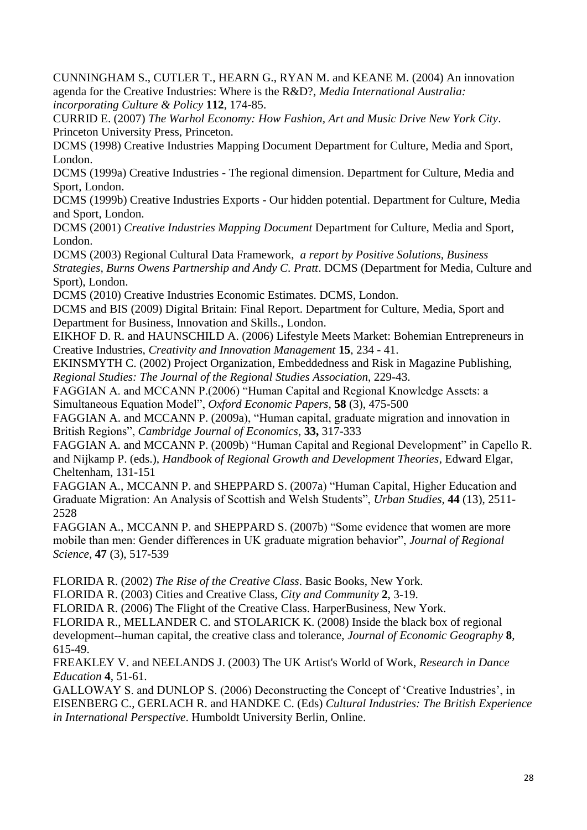<span id="page-27-9"></span>CUNNINGHAM S., CUTLER T., HEARN G., RYAN M. and KEANE M. (2004) An innovation agenda for the Creative Industries: Where is the R&D?, *Media International Australia: incorporating Culture & Policy* **112**, 174-85.

<span id="page-27-10"></span>CURRID E. (2007) *The Warhol Economy: How Fashion, Art and Music Drive New York City*. Princeton University Press, Princeton.

<span id="page-27-6"></span>DCMS (1998) Creative Industries Mapping Document Department for Culture, Media and Sport, London.

<span id="page-27-11"></span>DCMS (1999a) Creative Industries - The regional dimension. Department for Culture, Media and Sport, London.

<span id="page-27-12"></span>DCMS (1999b) Creative Industries Exports - Our hidden potential. Department for Culture, Media and Sport, London.

<span id="page-27-7"></span>DCMS (2001) *Creative Industries Mapping Document* Department for Culture, Media and Sport, London.

<span id="page-27-13"></span>DCMS (2003) Regional Cultural Data Framework, *a report by Positive Solutions, Business Strategies, Burns Owens Partnership and Andy C. Pratt*. DCMS (Department for Media, Culture and Sport), London.

<span id="page-27-8"></span>DCMS (2010) Creative Industries Economic Estimates. DCMS, London.

<span id="page-27-14"></span>DCMS and BIS (2009) Digital Britain: Final Report. Department for Culture, Media, Sport and Department for Business, Innovation and Skills., London.

<span id="page-27-4"></span>EIKHOF D. R. and HAUNSCHILD A. (2006) Lifestyle Meets Market: Bohemian Entrepreneurs in Creative Industries, *Creativity and Innovation Management* **15**, 234 - 41.

<span id="page-27-16"></span>EKINSMYTH C. (2002) Project Organization, Embeddedness and Risk in Magazine Publishing, *Regional Studies: The Journal of the Regional Studies Association*, 229-43.

<span id="page-27-0"></span>FAGGIAN A. and MCCANN P.(2006) "Human Capital and Regional Knowledge Assets: a Simultaneous Equation Model", *Oxford Economic Papers,* **58** (3), 475-500

FAGGIAN A. and MCCANN P. (2009a), "Human capital, graduate migration and innovation in British Regions", *Cambridge Journal of Economics*, **33,** 317-333

FAGGIAN A. and MCCANN P. (2009b) "Human Capital and Regional Development" in Capello R. and Nijkamp P. (eds.), *Handbook of Regional Growth and Development Theories*, Edward Elgar, Cheltenham, 131-151

FAGGIAN A., MCCANN P. and SHEPPARD S. (2007a) "Human Capital, Higher Education and Graduate Migration: An Analysis of Scottish and Welsh Students", *Urban Studies*, **44** (13), 2511- 2528

FAGGIAN A., MCCANN P. and SHEPPARD S. (2007b) "Some evidence that women are more mobile than men: Gender differences in UK graduate migration behavior", *Journal of Regional Science*, **47** (3), 517-539

FLORIDA R. (2002) *The Rise of the Creative Class*. Basic Books, New York.

<span id="page-27-3"></span>FLORIDA R. (2003) Cities and Creative Class, *City and Community* **2**, 3-19.

<span id="page-27-1"></span>FLORIDA R. (2006) The Flight of the Creative Class. HarperBusiness, New York.

<span id="page-27-2"></span>FLORIDA R., MELLANDER C. and STOLARICK K. (2008) Inside the black box of regional development--human capital, the creative class and tolerance, *Journal of Economic Geography* **8**, 615-49.

<span id="page-27-15"></span>FREAKLEY V. and NEELANDS J. (2003) The UK Artist's World of Work, *Research in Dance Education* **4**, 51-61.

<span id="page-27-5"></span>GALLOWAY S. and DUNLOP S. (2006) Deconstructing the Concept of "Creative Industries", in EISENBERG C., GERLACH R. and HANDKE C. (Eds) *Cultural Industries: The British Experience in International Perspective*. Humboldt University Berlin, Online.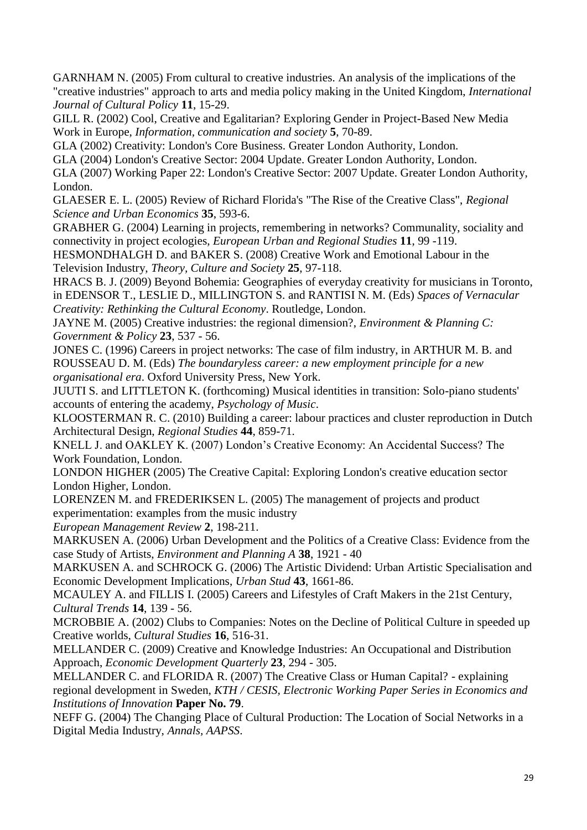<span id="page-28-11"></span>GARNHAM N. (2005) From cultural to creative industries. An analysis of the implications of the "creative industries" approach to arts and media policy making in the United Kingdom, *International Journal of Cultural Policy* **11**, 15-29.

<span id="page-28-20"></span>GILL R. (2002) Cool, Creative and Egalitarian? Exploring Gender in Project-Based New Media Work in Europe, *Information, communication and society* **5**, 70-89.

<span id="page-28-6"></span>GLA (2002) Creativity: London's Core Business. Greater London Authority, London.

<span id="page-28-12"></span>GLA (2004) London's Creative Sector: 2004 Update. Greater London Authority, London.

<span id="page-28-13"></span>GLA (2007) Working Paper 22: London's Creative Sector: 2007 Update. Greater London Authority, London.

<span id="page-28-0"></span>GLAESER E. L. (2005) Review of Richard Florida's "The Rise of the Creative Class", *Regional Science and Urban Economics* **35**, 593-6.

<span id="page-28-10"></span>GRABHER G. (2004) Learning in projects, remembering in networks? Communality, sociality and connectivity in project ecologies, *European Urban and Regional Studies* **11**, 99 -119.

<span id="page-28-19"></span>HESMONDHALGH D. and BAKER S. (2008) Creative Work and Emotional Labour in the Television Industry, *Theory, Culture and Society* **25**, 97-118.

<span id="page-28-16"></span>HRACS B. J. (2009) Beyond Bohemia: Geographies of everyday creativity for musicians in Toronto, in EDENSOR T., LESLIE D., MILLINGTON S. and RANTISI N. M. (Eds) *Spaces of Vernacular Creativity: Rethinking the Cultural Economy*. Routledge, London.

<span id="page-28-5"></span>JAYNE M. (2005) Creative industries: the regional dimension?, *Environment & Planning C: Government & Policy* **23**, 537 - 56.

<span id="page-28-9"></span>JONES C. (1996) Careers in project networks: The case of film industry, in ARTHUR M. B. and ROUSSEAU D. M. (Eds) *The boundaryless career: a new employment principle for a new organisational era*. Oxford University Press, New York.

<span id="page-28-17"></span>JUUTI S. and LITTLETON K. (forthcoming) Musical identities in transition: Solo-piano students' accounts of entering the academy, *Psychology of Music*.

<span id="page-28-8"></span>KLOOSTERMAN R. C. (2010) Building a career: labour practices and cluster reproduction in Dutch Architectural Design, *Regional Studies* **44**, 859-71.

<span id="page-28-7"></span>KNELL J. and OAKLEY K. (2007) London"s Creative Economy: An Accidental Success? The Work Foundation, London.

<span id="page-28-14"></span>LONDON HIGHER (2005) The Creative Capital: Exploring London's creative education sector London Higher, London.

<span id="page-28-18"></span>LORENZEN M. and FREDERIKSEN L. (2005) The management of projects and product experimentation: examples from the music industry

*European Management Review* **2**, 198-211.

<span id="page-28-3"></span>MARKUSEN A. (2006) Urban Development and the Politics of a Creative Class: Evidence from the case Study of Artists, *Environment and Planning A* **38**, 1921 - 40

<span id="page-28-4"></span>MARKUSEN A. and SCHROCK G. (2006) The Artistic Dividend: Urban Artistic Specialisation and Economic Development Implications, *Urban Stud* **43**, 1661-86.

<span id="page-28-22"></span>MCAULEY A. and FILLIS I. (2005) Careers and Lifestyles of Craft Makers in the 21st Century, *Cultural Trends* **14**, 139 - 56.

<span id="page-28-15"></span>MCROBBIE A. (2002) Clubs to Companies: Notes on the Decline of Political Culture in speeded up Creative worlds, *Cultural Studies* **16**, 516-31.

<span id="page-28-1"></span>MELLANDER C. (2009) Creative and Knowledge Industries: An Occupational and Distribution Approach, *Economic Development Quarterly* **23**, 294 - 305.

<span id="page-28-2"></span>MELLANDER C. and FLORIDA R. (2007) The Creative Class or Human Capital? - explaining regional development in Sweden, *KTH / CESIS, Electronic Working Paper Series in Economics and Institutions of Innovation* **Paper No. 79**.

<span id="page-28-21"></span>NEFF G. (2004) The Changing Place of Cultural Production: The Location of Social Networks in a Digital Media Industry, *Annals, AAPSS*.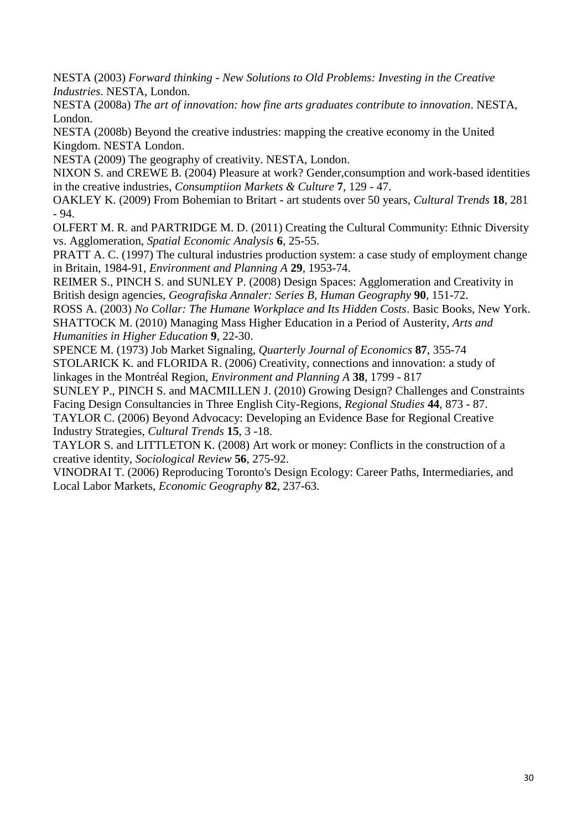<span id="page-29-2"></span>NESTA (2003) *Forward thinking - New Solutions to Old Problems: Investing in the Creative Industries*. NESTA, London.

<span id="page-29-15"></span>NESTA (2008a) *The art of innovation: how fine arts graduates contribute to innovation*. NESTA, London.

<span id="page-29-7"></span>NESTA (2008b) Beyond the creative industries: mapping the creative economy in the United Kingdom. NESTA London.

<span id="page-29-10"></span>NESTA (2009) The geography of creativity. NESTA, London.

<span id="page-29-16"></span>NIXON S. and CREWE B. (2004) Pleasure at work? Gender,consumption and work-based identities in the creative industries, *Consumptiion Markets & Culture* **7**, 129 - 47.

<span id="page-29-4"></span>OAKLEY K. (2009) From Bohemian to Britart - art students over 50 years, *Cultural Trends* **18**, 281 - 94.

<span id="page-29-0"></span>OLFERT M. R. and PARTRIDGE M. D. (2011) Creating the Cultural Community: Ethnic Diversity vs. Agglomeration, *Spatial Economic Analysis* **6**, 25-55.

<span id="page-29-8"></span>PRATT A. C. (1997) The cultural industries production system: a case study of employment change in Britain, 1984-91, *Environment and Planning A* **29**, 1953-74.

<span id="page-29-13"></span>REIMER S., PINCH S. and SUNLEY P. (2008) Design Spaces: Agglomeration and Creativity in British design agencies, *Geografiska Annaler: Series B, Human Geography* **90**, 151-72.

<span id="page-29-11"></span><span id="page-29-5"></span>ROSS A. (2003) *No Collar: The Humane Workplace and Its Hidden Costs*. Basic Books, New York. SHATTOCK M. (2010) Managing Mass Higher Education in a Period of Austerity, *Arts and Humanities in Higher Education* **9**, 22-30.

<span id="page-29-12"></span><span id="page-29-1"></span>SPENCE M. (1973) Job Market Signaling, *Quarterly Journal of Economics* **87**, 355-74 STOLARICK K. and FLORIDA R. (2006) Creativity, connections and innovation: a study of linkages in the Montréal Region, *Environment and Planning A* **38**, 1799 - 817

<span id="page-29-14"></span>SUNLEY P., PINCH S. and MACMILLEN J. (2010) Growing Design? Challenges and Constraints Facing Design Consultancies in Three English City-Regions, *Regional Studies* **44**, 873 - 87.

<span id="page-29-9"></span>TAYLOR C. (2006) Beyond Advocacy: Developing an Evidence Base for Regional Creative Industry Strategies, *Cultural Trends* **15**, 3 -18.

<span id="page-29-6"></span>TAYLOR S. and LITTLETON K. (2008) Art work or money: Conflicts in the construction of a creative identity, *Sociological Review* **56**, 275-92.

<span id="page-29-3"></span>VINODRAI T. (2006) Reproducing Toronto's Design Ecology: Career Paths, Intermediaries, and Local Labor Markets, *Economic Geography* **82**, 237-63.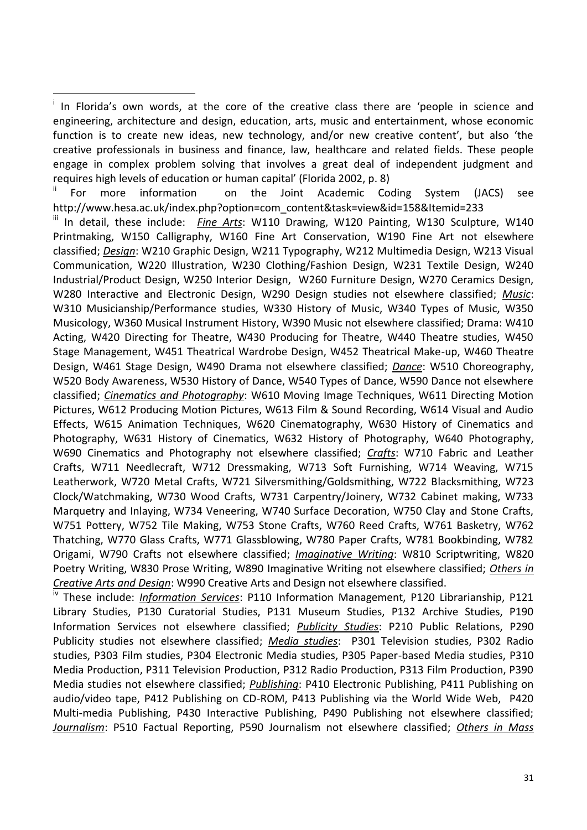$\overline{a}$ 

For more information on the Joint Academic Coding System (JACS) see http://www.hesa.ac.uk/index.php?option=com\_content&task=view&id=158&Itemid=233

iii In detail, these include: Fine Arts: W110 Drawing, W120 Painting, W130 Sculpture, W140 Printmaking, W150 Calligraphy, W160 Fine Art Conservation, W190 Fine Art not elsewhere classified; *Design*: W210 Graphic Design, W211 Typography, W212 Multimedia Design, W213 Visual Communication, W220 Illustration, W230 Clothing/Fashion Design, W231 Textile Design, W240 Industrial/Product Design, W250 Interior Design, W260 Furniture Design, W270 Ceramics Design, W280 Interactive and Electronic Design, W290 Design studies not elsewhere classified; *Music*: W310 Musicianship/Performance studies, W330 History of Music, W340 Types of Music, W350 Musicology, W360 Musical Instrument History, W390 Music not elsewhere classified; Drama: W410 Acting, W420 Directing for Theatre, W430 Producing for Theatre, W440 Theatre studies, W450 Stage Management, W451 Theatrical Wardrobe Design, W452 Theatrical Make-up, W460 Theatre Design, W461 Stage Design, W490 Drama not elsewhere classified; *Dance*: W510 Choreography, W520 Body Awareness, W530 History of Dance, W540 Types of Dance, W590 Dance not elsewhere classified; *Cinematics and Photography*: W610 Moving Image Techniques, W611 Directing Motion Pictures, W612 Producing Motion Pictures, W613 Film & Sound Recording, W614 Visual and Audio Effects, W615 Animation Techniques, W620 Cinematography, W630 History of Cinematics and Photography, W631 History of Cinematics, W632 History of Photography, W640 Photography, W690 Cinematics and Photography not elsewhere classified; *Crafts*: W710 Fabric and Leather Crafts, W711 Needlecraft, W712 Dressmaking, W713 Soft Furnishing, W714 Weaving, W715 Leatherwork, W720 Metal Crafts, W721 Silversmithing/Goldsmithing, W722 Blacksmithing, W723 Clock/Watchmaking, W730 Wood Crafts, W731 Carpentry/Joinery, W732 Cabinet making, W733 Marquetry and Inlaying, W734 Veneering, W740 Surface Decoration, W750 Clay and Stone Crafts, W751 Pottery, W752 Tile Making, W753 Stone Crafts, W760 Reed Crafts, W761 Basketry, W762 Thatching, W770 Glass Crafts, W771 Glassblowing, W780 Paper Crafts, W781 Bookbinding, W782 Origami, W790 Crafts not elsewhere classified; *Imaginative Writing*: W810 Scriptwriting, W820 Poetry Writing, W830 Prose Writing, W890 Imaginative Writing not elsewhere classified; *Others in Creative Arts and Design*: W990 Creative Arts and Design not elsewhere classified.

iv These include: *Information Services*: P110 Information Management, P120 Librarianship, P121 Library Studies, P130 Curatorial Studies, P131 Museum Studies, P132 Archive Studies, P190 Information Services not elsewhere classified; *Publicity Studies*: P210 Public Relations, P290 Publicity studies not elsewhere classified; *Media studies*: P301 Television studies, P302 Radio studies, P303 Film studies, P304 Electronic Media studies, P305 Paper-based Media studies, P310 Media Production, P311 Television Production, P312 Radio Production, P313 Film Production, P390 Media studies not elsewhere classified; *Publishing*: P410 Electronic Publishing, P411 Publishing on audio/video tape, P412 Publishing on CD-ROM, P413 Publishing via the World Wide Web, P420 Multi-media Publishing, P430 Interactive Publishing, P490 Publishing not elsewhere classified; *Journalism*: P510 Factual Reporting, P590 Journalism not elsewhere classified; *Others in Mass* 

<sup>&</sup>lt;sup>i</sup> In Florida's own words, at the core of the creative class there are 'people in science and engineering, architecture and design, education, arts, music and entertainment, whose economic function is to create new ideas, new technology, and/or new creative content', but also 'the creative professionals in business and finance, law, healthcare and related fields. These people engage in complex problem solving that involves a great deal of independent judgment and requires high levels of education or human capital' (Florida 2002, p. 8)